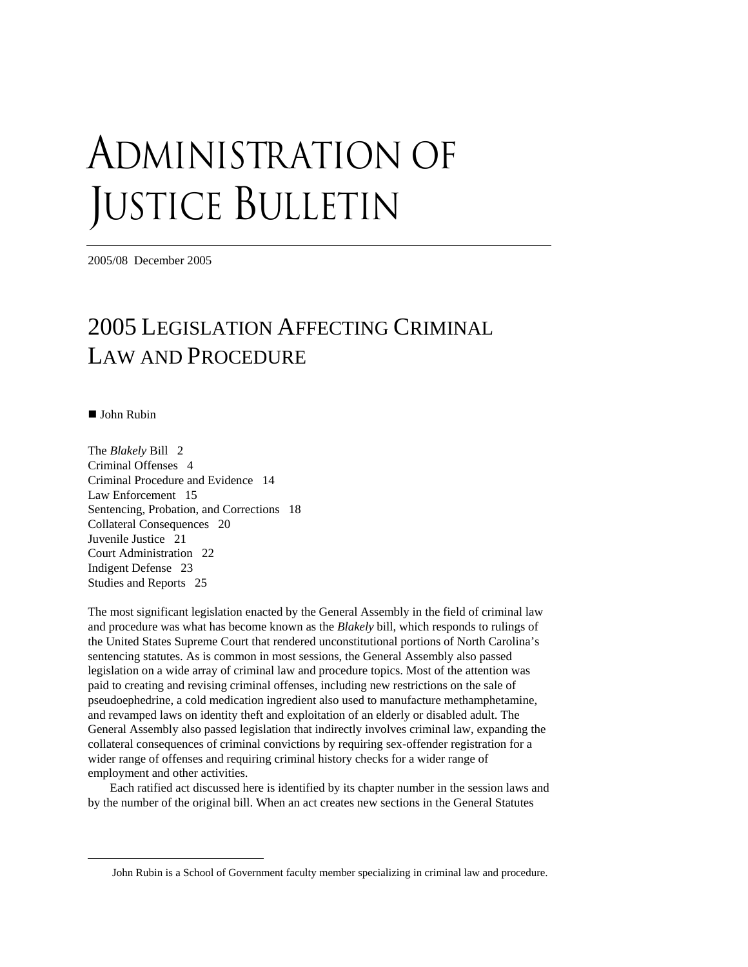# ADMINISTRATION OF JUSTICE BULLETIN

2005/08 December 2005

## 2005 LEGISLATION AFFECTING CRIMINAL LAW AND PROCEDURE

■ John Rubin

 $\overline{a}$ 

The *Blakely* Bill 2 Criminal Offenses 4 Criminal Procedure and Evidence 14 Law Enforcement 15 Sentencing, Probation, and Corrections 18 Collateral Consequences 20 Juvenile Justice 21 Court Administration 22 Indigent Defense 23 Studies and Reports 25

The most significant legislation enacted by the General Assembly in the field of criminal law and procedure was what has become known as the *Blakely* bill, which responds to rulings of the United States Supreme Court that rendered unconstitutional portions of North Carolina's sentencing statutes. As is common in most sessions, the General Assembly also passed legislation on a wide array of criminal law and procedure topics. Most of the attention was paid to creating and revising criminal offenses, including new restrictions on the sale of pseudoephedrine, a cold medication ingredient also used to manufacture methamphetamine, and revamped laws on identity theft and exploitation of an elderly or disabled adult. The General Assembly also passed legislation that indirectly involves criminal law, expanding the collateral consequences of criminal convictions by requiring sex-offender registration for a wider range of offenses and requiring criminal history checks for a wider range of employment and other activities.

Each ratified act discussed here is identified by its chapter number in the session laws and by the number of the original bill. When an act creates new sections in the General Statutes

John Rubin is a School of Government faculty member specializing in criminal law and procedure.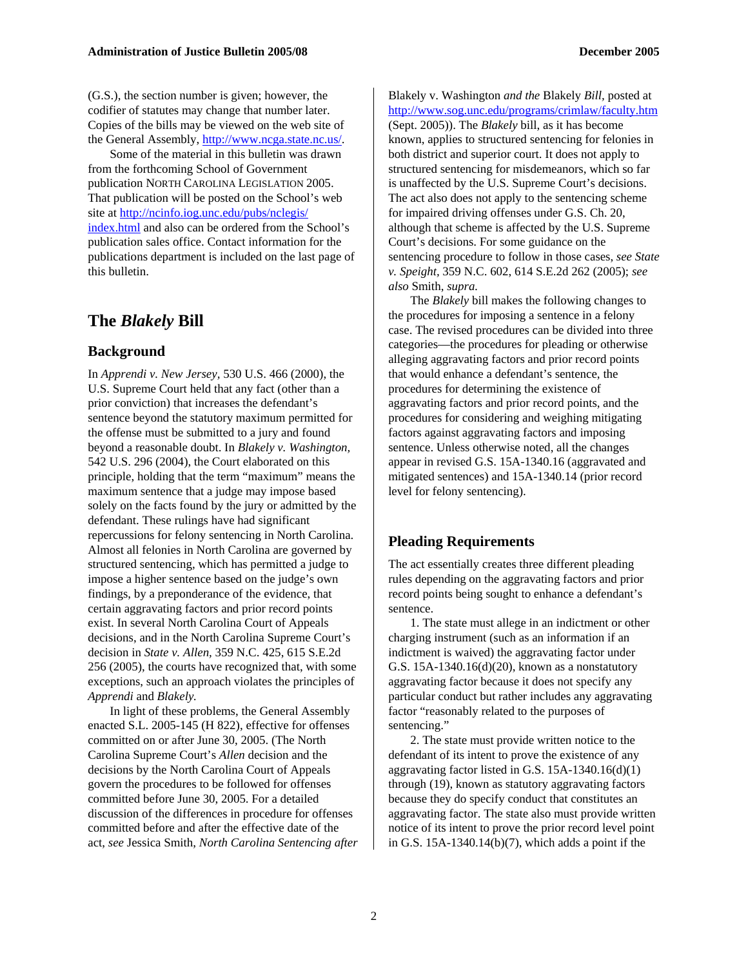(G.S.), the section number is given; however, the codifier of statutes may change that number later. Copies of the bills may be viewed on the web site of the General Assembly, [http://www.ncga.state.nc.us/.](http://www.ncga.state.nc.us/)

Some of the material in this bulletin was drawn from the forthcoming School of Government publication NORTH CAROLINA LEGISLATION 2005. That publication will be posted on the School's web site at [http://ncinfo.iog.unc.edu/pubs/nclegis/](http://ncinfo.iog.unc.edu/pubs/nclegis/%0Bindex.html) [index.html](http://ncinfo.iog.unc.edu/pubs/nclegis/%0Bindex.html) and also can be ordered from the School's publication sales office. Contact information for the publications department is included on the last page of this bulletin.

## **The** *Blakely* **Bill**

#### **Background**

In *Apprendi v. New Jersey,* 530 U.S. 466 (2000), the U.S. Supreme Court held that any fact (other than a prior conviction) that increases the defendant's sentence beyond the statutory maximum permitted for the offense must be submitted to a jury and found beyond a reasonable doubt. In *Blakely v. Washington,*  542 U.S. 296 (2004), the Court elaborated on this principle, holding that the term "maximum" means the maximum sentence that a judge may impose based solely on the facts found by the jury or admitted by the defendant. These rulings have had significant repercussions for felony sentencing in North Carolina. Almost all felonies in North Carolina are governed by structured sentencing, which has permitted a judge to impose a higher sentence based on the judge's own findings, by a preponderance of the evidence, that certain aggravating factors and prior record points exist. In several North Carolina Court of Appeals decisions, and in the North Carolina Supreme Court's decision in *State v. Allen,* 359 N.C. 425, 615 S.E.2d 256 (2005), the courts have recognized that, with some exceptions, such an approach violates the principles of *Apprendi* and *Blakely.*

In light of these problems, the General Assembly enacted S.L. 2005-145 (H 822), effective for offenses committed on or after June 30, 2005. (The North Carolina Supreme Court's *Allen* decision and the decisions by the North Carolina Court of Appeals govern the procedures to be followed for offenses committed before June 30, 2005. For a detailed discussion of the differences in procedure for offenses committed before and after the effective date of the act, *see* Jessica Smith, *North Carolina Sentencing after* 

Blakely v. Washington *and the* Blakely *Bill,* posted at <http://www.sog.unc.edu/programs/crimlaw/faculty.htm> (Sept. 2005)). The *Blakely* bill, as it has become known, applies to structured sentencing for felonies in both district and superior court. It does not apply to structured sentencing for misdemeanors, which so far is unaffected by the U.S. Supreme Court's decisions. The act also does not apply to the sentencing scheme for impaired driving offenses under G.S. Ch. 20, although that scheme is affected by the U.S. Supreme Court's decisions. For some guidance on the sentencing procedure to follow in those cases, *see State v. Speight,* 359 N.C. 602, 614 S.E.2d 262 (2005); *see also* Smith, *supra.* 

The *Blakely* bill makes the following changes to the procedures for imposing a sentence in a felony case. The revised procedures can be divided into three categories—the procedures for pleading or otherwise alleging aggravating factors and prior record points that would enhance a defendant's sentence, the procedures for determining the existence of aggravating factors and prior record points, and the procedures for considering and weighing mitigating factors against aggravating factors and imposing sentence. Unless otherwise noted, all the changes appear in revised G.S. 15A-1340.16 (aggravated and mitigated sentences) and 15A-1340.14 (prior record level for felony sentencing).

#### **Pleading Requirements**

The act essentially creates three different pleading rules depending on the aggravating factors and prior record points being sought to enhance a defendant's sentence.

1. The state must allege in an indictment or other charging instrument (such as an information if an indictment is waived) the aggravating factor under G.S. 15A-1340.16(d)(20), known as a nonstatutory aggravating factor because it does not specify any particular conduct but rather includes any aggravating factor "reasonably related to the purposes of sentencing."

2. The state must provide written notice to the defendant of its intent to prove the existence of any aggravating factor listed in G.S. 15A-1340.16(d)(1) through (19), known as statutory aggravating factors because they do specify conduct that constitutes an aggravating factor. The state also must provide written notice of its intent to prove the prior record level point in G.S.  $15A-1340.14(b)(7)$ , which adds a point if the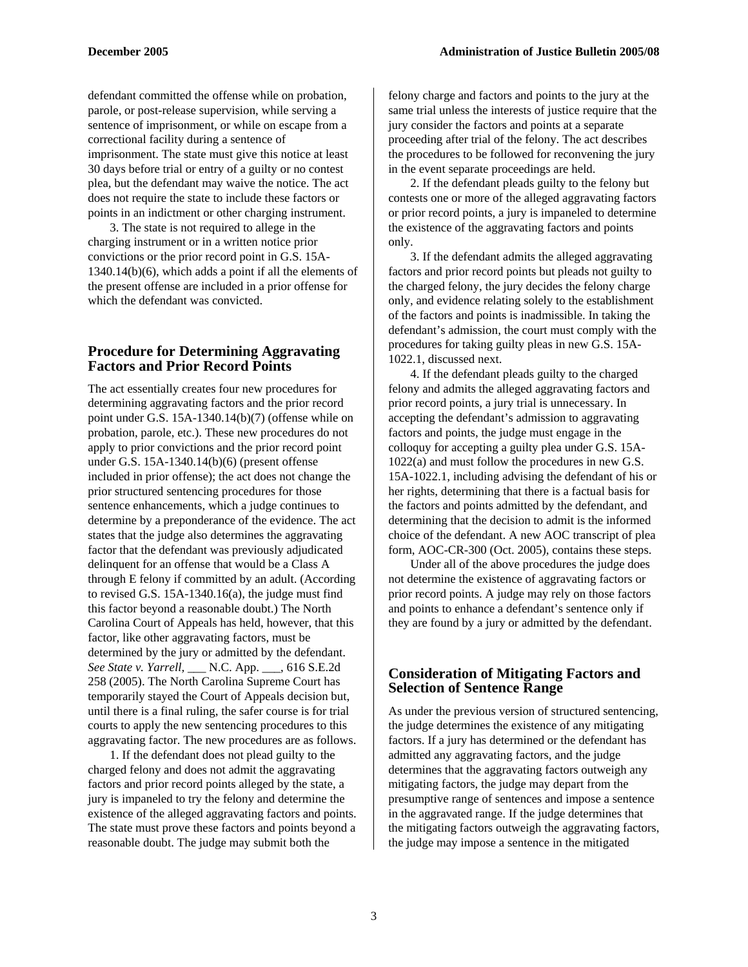defendant committed the offense while on probation, parole, or post-release supervision, while serving a sentence of imprisonment, or while on escape from a correctional facility during a sentence of imprisonment. The state must give this notice at least 30 days before trial or entry of a guilty or no contest plea, but the defendant may waive the notice. The act does not require the state to include these factors or points in an indictment or other charging instrument.

3. The state is not required to allege in the charging instrument or in a written notice prior convictions or the prior record point in G.S. 15A-1340.14(b)(6), which adds a point if all the elements of the present offense are included in a prior offense for which the defendant was convicted.

#### **Procedure for Determining Aggravating Factors and Prior Record Points**

The act essentially creates four new procedures for determining aggravating factors and the prior record point under G.S. 15A-1340.14(b)(7) (offense while on probation, parole, etc.). These new procedures do not apply to prior convictions and the prior record point under G.S. 15A-1340.14(b)(6) (present offense included in prior offense); the act does not change the prior structured sentencing procedures for those sentence enhancements, which a judge continues to determine by a preponderance of the evidence. The act states that the judge also determines the aggravating factor that the defendant was previously adjudicated delinquent for an offense that would be a Class A through E felony if committed by an adult. (According to revised G.S. 15A-1340.16(a), the judge must find this factor beyond a reasonable doubt.) The North Carolina Court of Appeals has held, however, that this factor, like other aggravating factors, must be determined by the jury or admitted by the defendant. *See State v. Yarrell,* \_\_\_ N.C. App. \_\_\_, 616 S.E.2d 258 (2005). The North Carolina Supreme Court has temporarily stayed the Court of Appeals decision but, until there is a final ruling, the safer course is for trial courts to apply the new sentencing procedures to this aggravating factor. The new procedures are as follows.

1. If the defendant does not plead guilty to the charged felony and does not admit the aggravating factors and prior record points alleged by the state, a jury is impaneled to try the felony and determine the existence of the alleged aggravating factors and points. The state must prove these factors and points beyond a reasonable doubt. The judge may submit both the

felony charge and factors and points to the jury at the same trial unless the interests of justice require that the jury consider the factors and points at a separate proceeding after trial of the felony. The act describes the procedures to be followed for reconvening the jury in the event separate proceedings are held.

2. If the defendant pleads guilty to the felony but contests one or more of the alleged aggravating factors or prior record points, a jury is impaneled to determine the existence of the aggravating factors and points only.

3. If the defendant admits the alleged aggravating factors and prior record points but pleads not guilty to the charged felony, the jury decides the felony charge only, and evidence relating solely to the establishment of the factors and points is inadmissible. In taking the defendant's admission, the court must comply with the procedures for taking guilty pleas in new G.S. 15A-1022.1, discussed next.

4. If the defendant pleads guilty to the charged felony and admits the alleged aggravating factors and prior record points, a jury trial is unnecessary. In accepting the defendant's admission to aggravating factors and points, the judge must engage in the colloquy for accepting a guilty plea under G.S. 15A-1022(a) and must follow the procedures in new G.S. 15A-1022.1, including advising the defendant of his or her rights, determining that there is a factual basis for the factors and points admitted by the defendant, and determining that the decision to admit is the informed choice of the defendant. A new AOC transcript of plea form, AOC-CR-300 (Oct. 2005), contains these steps.

Under all of the above procedures the judge does not determine the existence of aggravating factors or prior record points. A judge may rely on those factors and points to enhance a defendant's sentence only if they are found by a jury or admitted by the defendant.

#### **Consideration of Mitigating Factors and Selection of Sentence Range**

As under the previous version of structured sentencing, the judge determines the existence of any mitigating factors. If a jury has determined or the defendant has admitted any aggravating factors, and the judge determines that the aggravating factors outweigh any mitigating factors, the judge may depart from the presumptive range of sentences and impose a sentence in the aggravated range. If the judge determines that the mitigating factors outweigh the aggravating factors, the judge may impose a sentence in the mitigated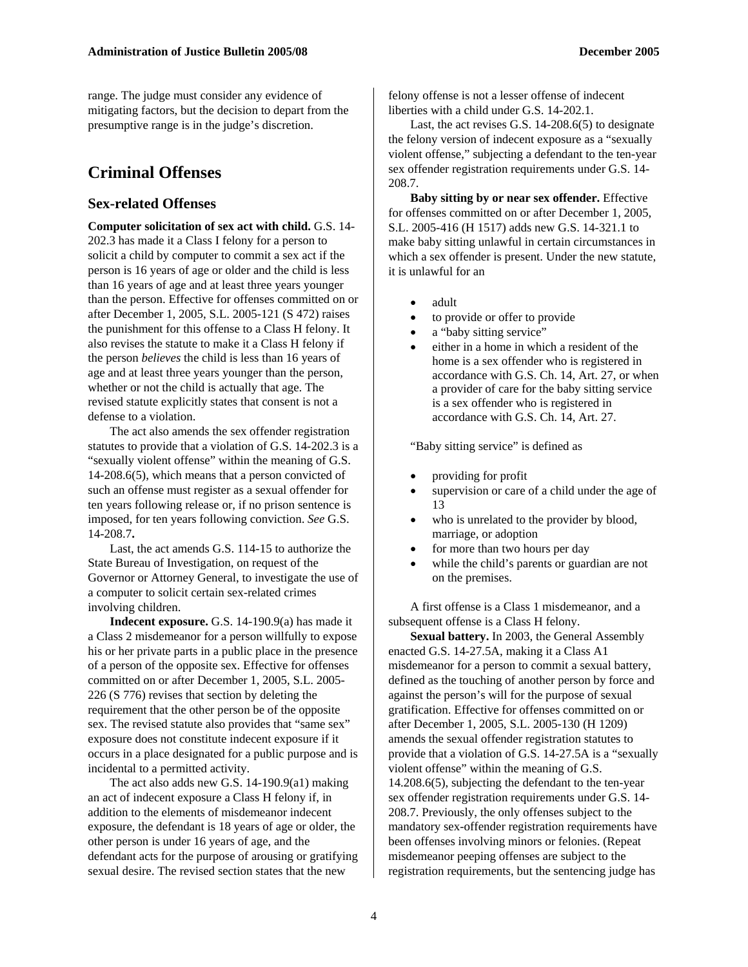range. The judge must consider any evidence of mitigating factors, but the decision to depart from the presumptive range is in the judge's discretion.

## **Criminal Offenses**

#### **Sex-related Offenses**

**Computer solicitation of sex act with child.** G.S. 14- 202.3 has made it a Class I felony for a person to solicit a child by computer to commit a sex act if the person is 16 years of age or older and the child is less than 16 years of age and at least three years younger than the person. Effective for offenses committed on or after December 1, 2005, S.L. 2005-121 (S 472) raises the punishment for this offense to a Class H felony. It also revises the statute to make it a Class H felony if the person *believes* the child is less than 16 years of age and at least three years younger than the person, whether or not the child is actually that age. The revised statute explicitly states that consent is not a defense to a violation.

The act also amends the sex offender registration statutes to provide that a violation of G.S. 14-202.3 is a "sexually violent offense" within the meaning of G.S. 14-208.6(5), which means that a person convicted of such an offense must register as a sexual offender for ten years following release or, if no prison sentence is imposed, for ten years following conviction. *See* G.S. 14-208.7**.**

Last, the act amends G.S. 114-15 to authorize the State Bureau of Investigation, on request of the Governor or Attorney General, to investigate the use of a computer to solicit certain sex-related crimes involving children.

**Indecent exposure.** G.S. 14-190.9(a) has made it a Class 2 misdemeanor for a person willfully to expose his or her private parts in a public place in the presence of a person of the opposite sex. Effective for offenses committed on or after December 1, 2005, S.L. 2005- 226 (S 776) revises that section by deleting the requirement that the other person be of the opposite sex. The revised statute also provides that "same sex" exposure does not constitute indecent exposure if it occurs in a place designated for a public purpose and is incidental to a permitted activity.

The act also adds new G.S. 14-190.9(a1) making an act of indecent exposure a Class H felony if, in addition to the elements of misdemeanor indecent exposure, the defendant is 18 years of age or older, the other person is under 16 years of age, and the defendant acts for the purpose of arousing or gratifying sexual desire. The revised section states that the new

felony offense is not a lesser offense of indecent liberties with a child under G.S. 14-202.1.

Last, the act revises G.S. 14-208.6(5) to designate the felony version of indecent exposure as a "sexually violent offense," subjecting a defendant to the ten-year sex offender registration requirements under G.S. 14- 208.7.

**Baby sitting by or near sex offender.** Effective for offenses committed on or after December 1, 2005, S.L. 2005-416 (H 1517) adds new G.S. 14-321.1 to make baby sitting unlawful in certain circumstances in which a sex offender is present. Under the new statute, it is unlawful for an

- adult
- to provide or offer to provide
- a "baby sitting service"
- either in a home in which a resident of the home is a sex offender who is registered in accordance with G.S. Ch. 14, Art. 27, or when a provider of care for the baby sitting service is a sex offender who is registered in accordance with G.S. Ch. 14, Art. 27.

"Baby sitting service" is defined as

- providing for profit
- supervision or care of a child under the age of 13
- who is unrelated to the provider by blood, marriage, or adoption
- for more than two hours per day
- while the child's parents or guardian are not on the premises.

A first offense is a Class 1 misdemeanor, and a subsequent offense is a Class H felony.

**Sexual battery.** In 2003, the General Assembly enacted G.S. 14-27.5A, making it a Class A1 misdemeanor for a person to commit a sexual battery, defined as the touching of another person by force and against the person's will for the purpose of sexual gratification. Effective for offenses committed on or after December 1, 2005, S.L. 2005-130 (H 1209) amends the sexual offender registration statutes to provide that a violation of G.S. 14-27.5A is a "sexually violent offense" within the meaning of G.S. 14.208.6(5), subjecting the defendant to the ten-year sex offender registration requirements under G.S. 14- 208.7. Previously, the only offenses subject to the mandatory sex-offender registration requirements have been offenses involving minors or felonies. (Repeat misdemeanor peeping offenses are subject to the registration requirements, but the sentencing judge has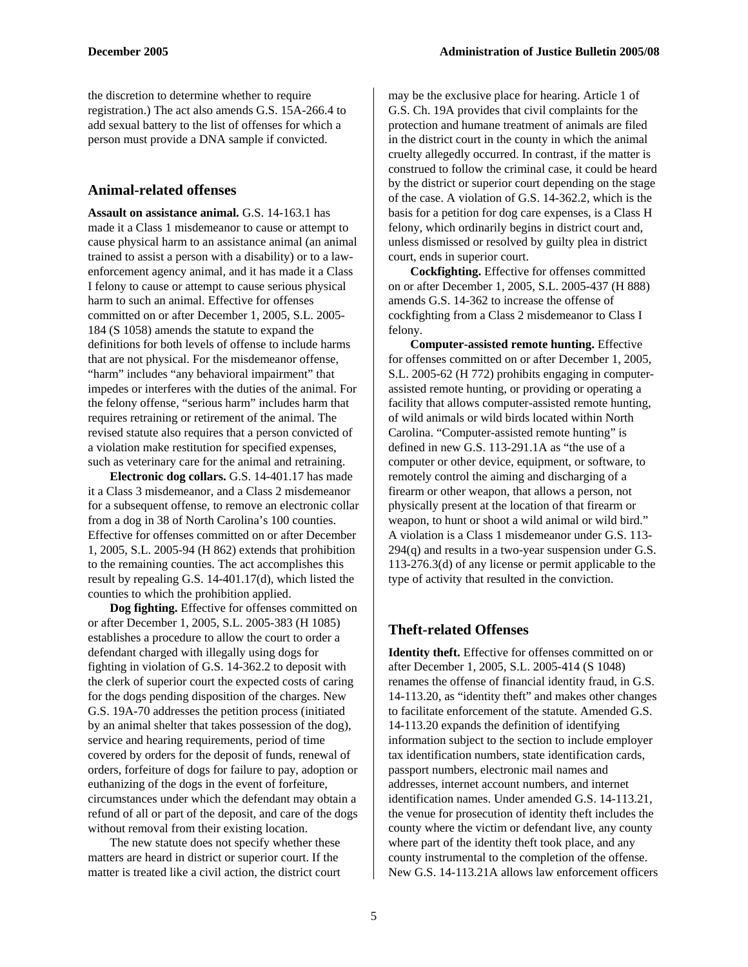the discretion to determine whether to require registration.) The act also amends G.S. 15A-266.4 to add sexual battery to the list of offenses for which a person must provide a DNA sample if convicted.

#### **Animal-related offenses**

**Assault on assistance animal.** G.S. 14-163.1 has made it a Class 1 misdemeanor to cause or attempt to cause physical harm to an assistance animal (an animal trained to assist a person with a disability) or to a lawenforcement agency animal, and it has made it a Class I felony to cause or attempt to cause serious physical harm to such an animal. Effective for offenses committed on or after December 1, 2005, S.L. 2005- 184 (S 1058) amends the statute to expand the definitions for both levels of offense to include harms that are not physical. For the misdemeanor offense, "harm" includes "any behavioral impairment" that impedes or interferes with the duties of the animal. For the felony offense, "serious harm" includes harm that requires retraining or retirement of the animal. The revised statute also requires that a person convicted of a violation make restitution for specified expenses, such as veterinary care for the animal and retraining.

**Electronic dog collars.** G.S. 14-401.17 has made it a Class 3 misdemeanor, and a Class 2 misdemeanor for a subsequent offense, to remove an electronic collar from a dog in 38 of North Carolina's 100 counties. Effective for offenses committed on or after December 1, 2005, S.L. 2005-94 (H 862) extends that prohibition to the remaining counties. The act accomplishes this result by repealing G.S. 14-401.17(d), which listed the counties to which the prohibition applied.

**Dog fighting.** Effective for offenses committed on or after December 1, 2005, S.L. 2005-383 (H 1085) establishes a procedure to allow the court to order a defendant charged with illegally using dogs for fighting in violation of G.S. 14-362.2 to deposit with the clerk of superior court the expected costs of caring for the dogs pending disposition of the charges. New G.S. 19A-70 addresses the petition process (initiated by an animal shelter that takes possession of the dog), service and hearing requirements, period of time covered by orders for the deposit of funds, renewal of orders, forfeiture of dogs for failure to pay, adoption or euthanizing of the dogs in the event of forfeiture, circumstances under which the defendant may obtain a refund of all or part of the deposit, and care of the dogs without removal from their existing location.

The new statute does not specify whether these matters are heard in district or superior court. If the matter is treated like a civil action, the district court

may be the exclusive place for hearing. Article 1 of G.S. Ch. 19A provides that civil complaints for the protection and humane treatment of animals are filed in the district court in the county in which the animal cruelty allegedly occurred. In contrast, if the matter is construed to follow the criminal case, it could be heard by the district or superior court depending on the stage of the case. A violation of G.S. 14-362.2, which is the basis for a petition for dog care expenses, is a Class H felony, which ordinarily begins in district court and, unless dismissed or resolved by guilty plea in district court, ends in superior court.

**Cockfighting.** Effective for offenses committed on or after December 1, 2005, S.L. 2005-437 (H 888) amends G.S. 14-362 to increase the offense of cockfighting from a Class 2 misdemeanor to Class I felony.

**Computer-assisted remote hunting.** Effective for offenses committed on or after December 1, 2005, S.L. 2005-62 (H 772) prohibits engaging in computerassisted remote hunting, or providing or operating a facility that allows computer-assisted remote hunting, of wild animals or wild birds located within North Carolina. "Computer-assisted remote hunting" is defined in new G.S. 113-291.1A as "the use of a computer or other device, equipment, or software, to remotely control the aiming and discharging of a firearm or other weapon, that allows a person, not physically present at the location of that firearm or weapon, to hunt or shoot a wild animal or wild bird." A violation is a Class 1 misdemeanor under G.S. 113- 294(q) and results in a two-year suspension under G.S. 113-276.3(d) of any license or permit applicable to the type of activity that resulted in the conviction.

#### **Theft-related Offenses**

**Identity theft.** Effective for offenses committed on or after December 1, 2005, S.L. 2005-414 (S 1048) renames the offense of financial identity fraud, in G.S. 14-113.20, as "identity theft" and makes other changes to facilitate enforcement of the statute. Amended G.S. 14-113.20 expands the definition of identifying information subject to the section to include employer tax identification numbers, state identification cards, passport numbers, electronic mail names and addresses, internet account numbers, and internet identification names. Under amended G.S. 14-113.21, the venue for prosecution of identity theft includes the county where the victim or defendant live, any county where part of the identity theft took place, and any county instrumental to the completion of the offense. New G.S. 14-113.21A allows law enforcement officers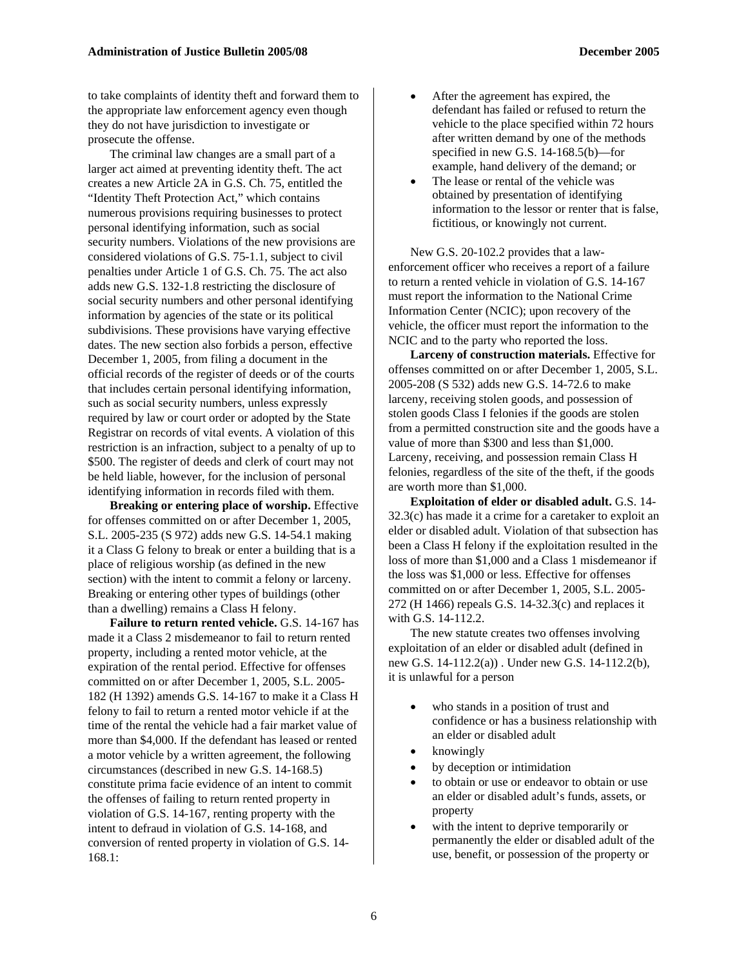to take complaints of identity theft and forward them to the appropriate law enforcement agency even though they do not have jurisdiction to investigate or prosecute the offense.

The criminal law changes are a small part of a larger act aimed at preventing identity theft. The act creates a new Article 2A in G.S. Ch. 75, entitled the "Identity Theft Protection Act," which contains numerous provisions requiring businesses to protect personal identifying information, such as social security numbers. Violations of the new provisions are considered violations of G.S. 75-1.1, subject to civil penalties under Article 1 of G.S. Ch. 75. The act also adds new G.S. 132-1.8 restricting the disclosure of social security numbers and other personal identifying information by agencies of the state or its political subdivisions. These provisions have varying effective dates. The new section also forbids a person, effective December 1, 2005, from filing a document in the official records of the register of deeds or of the courts that includes certain personal identifying information, such as social security numbers, unless expressly required by law or court order or adopted by the State Registrar on records of vital events. A violation of this restriction is an infraction, subject to a penalty of up to \$500. The register of deeds and clerk of court may not be held liable, however, for the inclusion of personal identifying information in records filed with them.

**Breaking or entering place of worship.** Effective for offenses committed on or after December 1, 2005, S.L. 2005-235 (S 972) adds new G.S. 14-54.1 making it a Class G felony to break or enter a building that is a place of religious worship (as defined in the new section) with the intent to commit a felony or larceny. Breaking or entering other types of buildings (other than a dwelling) remains a Class H felony.

**Failure to return rented vehicle.** G.S. 14-167 has made it a Class 2 misdemeanor to fail to return rented property, including a rented motor vehicle, at the expiration of the rental period. Effective for offenses committed on or after December 1, 2005, S.L. 2005- 182 (H 1392) amends G.S. 14-167 to make it a Class H felony to fail to return a rented motor vehicle if at the time of the rental the vehicle had a fair market value of more than \$4,000. If the defendant has leased or rented a motor vehicle by a written agreement, the following circumstances (described in new G.S. 14-168.5) constitute prima facie evidence of an intent to commit the offenses of failing to return rented property in violation of G.S. 14-167, renting property with the intent to defraud in violation of G.S. 14-168, and conversion of rented property in violation of G.S. 14- 168.1:

- After the agreement has expired, the defendant has failed or refused to return the vehicle to the place specified within 72 hours after written demand by one of the methods specified in new G.S. 14-168.5(b)—for example, hand delivery of the demand; or
- The lease or rental of the vehicle was obtained by presentation of identifying information to the lessor or renter that is false, fictitious, or knowingly not current.

New G.S. 20-102.2 provides that a lawenforcement officer who receives a report of a failure to return a rented vehicle in violation of G.S. 14-167 must report the information to the National Crime Information Center (NCIC); upon recovery of the vehicle, the officer must report the information to the NCIC and to the party who reported the loss.

**Larceny of construction materials.** Effective for offenses committed on or after December 1, 2005, S.L. 2005-208 (S 532) adds new G.S. 14-72.6 to make larceny, receiving stolen goods, and possession of stolen goods Class I felonies if the goods are stolen from a permitted construction site and the goods have a value of more than \$300 and less than \$1,000. Larceny, receiving, and possession remain Class H felonies, regardless of the site of the theft, if the goods are worth more than \$1,000.

**Exploitation of elder or disabled adult.** G.S. 14- 32.3(c) has made it a crime for a caretaker to exploit an elder or disabled adult. Violation of that subsection has been a Class H felony if the exploitation resulted in the loss of more than \$1,000 and a Class 1 misdemeanor if the loss was \$1,000 or less. Effective for offenses committed on or after December 1, 2005, S.L. 2005- 272 (H 1466) repeals G.S. 14-32.3(c) and replaces it with G.S. 14-112.2.

The new statute creates two offenses involving exploitation of an elder or disabled adult (defined in new G.S. 14-112.2(a)) . Under new G.S. 14-112.2(b), it is unlawful for a person

- who stands in a position of trust and confidence or has a business relationship with an elder or disabled adult
- knowingly
- by deception or intimidation
- to obtain or use or endeavor to obtain or use an elder or disabled adult's funds, assets, or property
- with the intent to deprive temporarily or permanently the elder or disabled adult of the use, benefit, or possession of the property or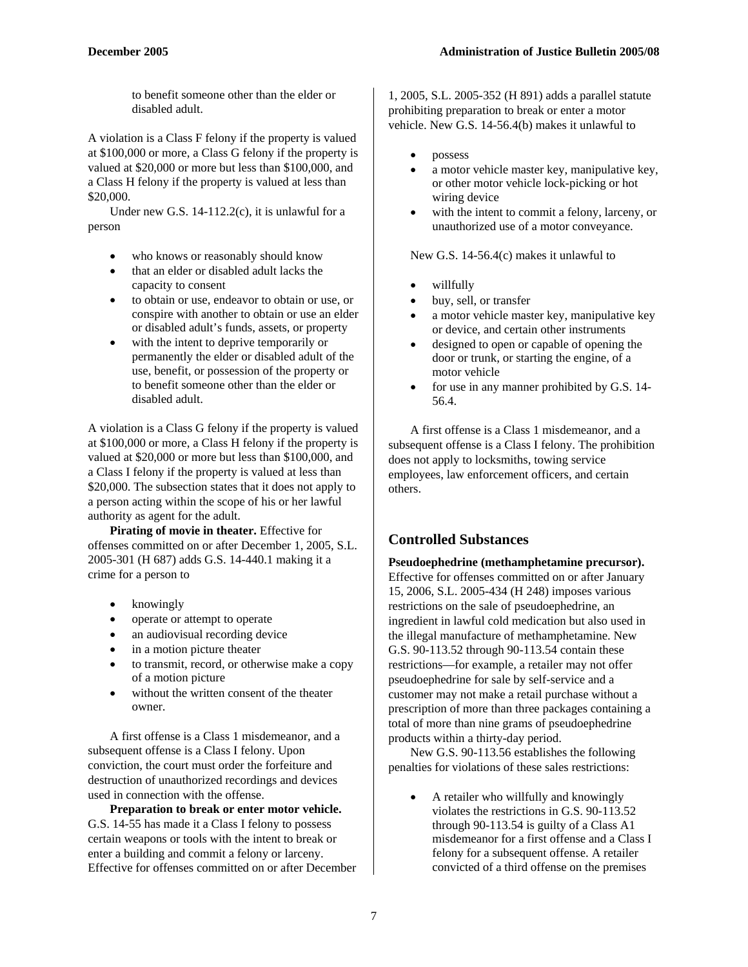to benefit someone other than the elder or disabled adult.

A violation is a Class F felony if the property is valued at \$100,000 or more, a Class G felony if the property is valued at \$20,000 or more but less than \$100,000, and a Class H felony if the property is valued at less than \$20,000.

Under new G.S. 14-112.2(c), it is unlawful for a person

- who knows or reasonably should know
- that an elder or disabled adult lacks the capacity to consent
- to obtain or use, endeavor to obtain or use, or conspire with another to obtain or use an elder or disabled adult's funds, assets, or property
- with the intent to deprive temporarily or permanently the elder or disabled adult of the use, benefit, or possession of the property or to benefit someone other than the elder or disabled adult.

A violation is a Class G felony if the property is valued at \$100,000 or more, a Class H felony if the property is valued at \$20,000 or more but less than \$100,000, and a Class I felony if the property is valued at less than \$20,000. The subsection states that it does not apply to a person acting within the scope of his or her lawful authority as agent for the adult.

**Pirating of movie in theater.** Effective for offenses committed on or after December 1, 2005, S.L. 2005-301 (H 687) adds G.S. 14-440.1 making it a crime for a person to

- knowingly
- operate or attempt to operate
- an audiovisual recording device
- in a motion picture theater
- to transmit, record, or otherwise make a copy of a motion picture
- without the written consent of the theater owner.

A first offense is a Class 1 misdemeanor, and a subsequent offense is a Class I felony. Upon conviction, the court must order the forfeiture and destruction of unauthorized recordings and devices used in connection with the offense.

**Preparation to break or enter motor vehicle.** G.S. 14-55 has made it a Class I felony to possess certain weapons or tools with the intent to break or enter a building and commit a felony or larceny. Effective for offenses committed on or after December

1, 2005, S.L. 2005-352 (H 891) adds a parallel statute prohibiting preparation to break or enter a motor vehicle. New G.S. 14-56.4(b) makes it unlawful to

- possess
- a motor vehicle master key, manipulative key, or other motor vehicle lock-picking or hot wiring device
- with the intent to commit a felony, larceny, or unauthorized use of a motor conveyance.

New G.S. 14-56.4(c) makes it unlawful to

- willfully
- buy, sell, or transfer
- a motor vehicle master key, manipulative key or device, and certain other instruments
- designed to open or capable of opening the door or trunk, or starting the engine, of a motor vehicle
- for use in any manner prohibited by G.S. 14-56.4.

A first offense is a Class 1 misdemeanor, and a subsequent offense is a Class I felony. The prohibition does not apply to locksmiths, towing service employees, law enforcement officers, and certain others.

## **Controlled Substances**

**Pseudoephedrine (methamphetamine precursor).**  Effective for offenses committed on or after January 15, 2006, S.L. 2005-434 (H 248) imposes various restrictions on the sale of pseudoephedrine, an ingredient in lawful cold medication but also used in the illegal manufacture of methamphetamine. New G.S. 90-113.52 through 90-113.54 contain these restrictions—for example, a retailer may not offer pseudoephedrine for sale by self-service and a customer may not make a retail purchase without a prescription of more than three packages containing a total of more than nine grams of pseudoephedrine products within a thirty-day period.

New G.S. 90-113.56 establishes the following penalties for violations of these sales restrictions:

• A retailer who willfully and knowingly violates the restrictions in G.S. 90-113.52 through 90-113.54 is guilty of a Class A1 misdemeanor for a first offense and a Class I felony for a subsequent offense. A retailer convicted of a third offense on the premises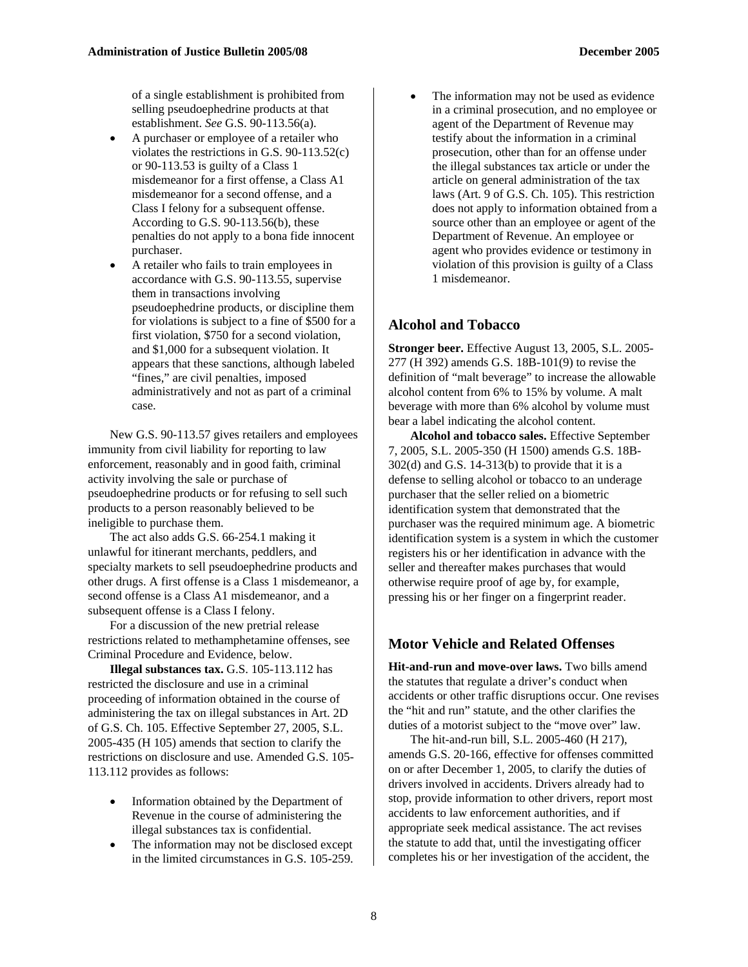of a single establishment is prohibited from selling pseudoephedrine products at that establishment. *See* G.S. 90-113.56(a).

- A purchaser or employee of a retailer who violates the restrictions in G.S. 90-113.52(c) or 90-113.53 is guilty of a Class 1 misdemeanor for a first offense, a Class A1 misdemeanor for a second offense, and a Class I felony for a subsequent offense. According to G.S. 90-113.56(b), these penalties do not apply to a bona fide innocent purchaser.
- A retailer who fails to train employees in accordance with G.S. 90-113.55, supervise them in transactions involving pseudoephedrine products, or discipline them for violations is subject to a fine of \$500 for a first violation, \$750 for a second violation, and \$1,000 for a subsequent violation. It appears that these sanctions, although labeled "fines," are civil penalties, imposed administratively and not as part of a criminal case.

New G.S. 90-113.57 gives retailers and employees immunity from civil liability for reporting to law enforcement, reasonably and in good faith, criminal activity involving the sale or purchase of pseudoephedrine products or for refusing to sell such products to a person reasonably believed to be ineligible to purchase them.

The act also adds G.S. 66-254.1 making it unlawful for itinerant merchants, peddlers, and specialty markets to sell pseudoephedrine products and other drugs. A first offense is a Class 1 misdemeanor, a second offense is a Class A1 misdemeanor, and a subsequent offense is a Class I felony.

For a discussion of the new pretrial release restrictions related to methamphetamine offenses, see Criminal Procedure and Evidence, below.

**Illegal substances tax.** G.S. 105-113.112 has restricted the disclosure and use in a criminal proceeding of information obtained in the course of administering the tax on illegal substances in Art. 2D of G.S. Ch. 105. Effective September 27, 2005, S.L. 2005-435 (H 105) amends that section to clarify the restrictions on disclosure and use. Amended G.S. 105- 113.112 provides as follows:

- Information obtained by the Department of Revenue in the course of administering the illegal substances tax is confidential.
- The information may not be disclosed except in the limited circumstances in G.S. 105-259.

The information may not be used as evidence in a criminal prosecution, and no employee or agent of the Department of Revenue may testify about the information in a criminal prosecution, other than for an offense under the illegal substances tax article or under the article on general administration of the tax laws (Art. 9 of G.S. Ch. 105). This restriction does not apply to information obtained from a source other than an employee or agent of the Department of Revenue. An employee or agent who provides evidence or testimony in violation of this provision is guilty of a Class 1 misdemeanor.

#### **Alcohol and Tobacco**

**Stronger beer.** Effective August 13, 2005, S.L. 2005- 277 (H 392) amends G.S. 18B-101(9) to revise the definition of "malt beverage" to increase the allowable alcohol content from 6% to 15% by volume. A malt beverage with more than 6% alcohol by volume must bear a label indicating the alcohol content.

**Alcohol and tobacco sales.** Effective September 7, 2005, S.L. 2005-350 (H 1500) amends G.S. 18B- $302(d)$  and G.S. 14-313(b) to provide that it is a defense to selling alcohol or tobacco to an underage purchaser that the seller relied on a biometric identification system that demonstrated that the purchaser was the required minimum age. A biometric identification system is a system in which the customer registers his or her identification in advance with the seller and thereafter makes purchases that would otherwise require proof of age by, for example, pressing his or her finger on a fingerprint reader.

#### **Motor Vehicle and Related Offenses**

Hit-and-run and move-over laws. Two bills amend the statutes that regulate a driver's conduct when accidents or other traffic disruptions occur. One revises the "hit and run" statute, and the other clarifies the duties of a motorist subject to the "move over" law.

The hit-and-run bill, S.L. 2005-460 (H 217), amends G.S. 20-166, effective for offenses committed on or after December 1, 2005, to clarify the duties of drivers involved in accidents. Drivers already had to stop, provide information to other drivers, report most accidents to law enforcement authorities, and if appropriate seek medical assistance. The act revises the statute to add that, until the investigating officer completes his or her investigation of the accident, the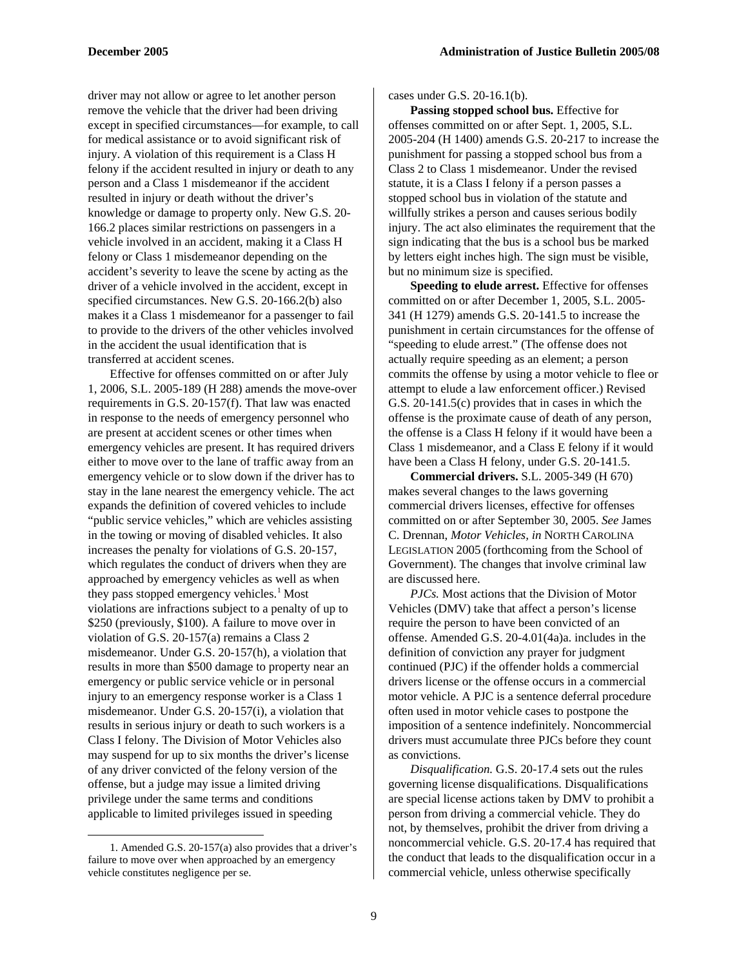driver may not allow or agree to let another person remove the vehicle that the driver had been driving except in specified circumstances—for example, to call for medical assistance or to avoid significant risk of injury. A violation of this requirement is a Class H felony if the accident resulted in injury or death to any person and a Class 1 misdemeanor if the accident resulted in injury or death without the driver's knowledge or damage to property only. New G.S. 20- 166.2 places similar restrictions on passengers in a vehicle involved in an accident, making it a Class H felony or Class 1 misdemeanor depending on the accident's severity to leave the scene by acting as the driver of a vehicle involved in the accident, except in specified circumstances. New G.S. 20-166.2(b) also makes it a Class 1 misdemeanor for a passenger to fail to provide to the drivers of the other vehicles involved in the accident the usual identification that is transferred at accident scenes.

Effective for offenses committed on or after July 1, 2006, S.L. 2005-189 (H 288) amends the move-over requirements in G.S. 20-157(f). That law was enacted in response to the needs of emergency personnel who are present at accident scenes or other times when emergency vehicles are present. It has required drivers either to move over to the lane of traffic away from an emergency vehicle or to slow down if the driver has to stay in the lane nearest the emergency vehicle. The act expands the definition of covered vehicles to include "public service vehicles," which are vehicles assisting in the towing or moving of disabled vehicles. It also increases the penalty for violations of G.S. 20-157, which regulates the conduct of drivers when they are approached by emergency vehicles as well as when they pass stopped emergency vehicles.<sup>[1](#page-8-0)</sup> Most violations are infractions subject to a penalty of up to \$250 (previously, \$100). A failure to move over in violation of G.S. 20-157(a) remains a Class 2 misdemeanor. Under G.S. 20-157(h), a violation that results in more than \$500 damage to property near an emergency or public service vehicle or in personal injury to an emergency response worker is a Class 1 misdemeanor. Under G.S. 20-157(i), a violation that results in serious injury or death to such workers is a Class I felony. The Division of Motor Vehicles also may suspend for up to six months the driver's license of any driver convicted of the felony version of the offense, but a judge may issue a limited driving privilege under the same terms and conditions applicable to limited privileges issued in speeding

<span id="page-8-0"></span>1. Amended G.S. 20-157(a) also provides that a driver's failure to move over when approached by an emergency vehicle constitutes negligence per se.

 $\overline{\phantom{a}}$ 

cases under G.S. 20-16.1(b).

**Passing stopped school bus.** Effective for offenses committed on or after Sept. 1, 2005, S.L. 2005-204 (H 1400) amends G.S. 20-217 to increase the punishment for passing a stopped school bus from a Class 2 to Class 1 misdemeanor. Under the revised statute, it is a Class I felony if a person passes a stopped school bus in violation of the statute and willfully strikes a person and causes serious bodily injury. The act also eliminates the requirement that the sign indicating that the bus is a school bus be marked by letters eight inches high. The sign must be visible, but no minimum size is specified.

**Speeding to elude arrest.** Effective for offenses committed on or after December 1, 2005, S.L. 2005- 341 (H 1279) amends G.S. 20-141.5 to increase the punishment in certain circumstances for the offense of "speeding to elude arrest." (The offense does not actually require speeding as an element; a person commits the offense by using a motor vehicle to flee or attempt to elude a law enforcement officer.) Revised G.S. 20-141.5(c) provides that in cases in which the offense is the proximate cause of death of any person, the offense is a Class H felony if it would have been a Class 1 misdemeanor, and a Class E felony if it would have been a Class H felony, under G.S. 20-141.5.

**Commercial drivers.** S.L. 2005-349 (H 670) makes several changes to the laws governing commercial drivers licenses, effective for offenses committed on or after September 30, 2005. *See* James C. Drennan, *Motor Vehicles, in* NORTH CAROLINA LEGISLATION 2005 (forthcoming from the School of Government). The changes that involve criminal law are discussed here.

*PJCs.* Most actions that the Division of Motor Vehicles (DMV) take that affect a person's license require the person to have been convicted of an offense. Amended G.S. 20-4.01(4a)a. includes in the definition of conviction any prayer for judgment continued (PJC) if the offender holds a commercial drivers license or the offense occurs in a commercial motor vehicle. A PJC is a sentence deferral procedure often used in motor vehicle cases to postpone the imposition of a sentence indefinitely. Noncommercial drivers must accumulate three PJCs before they count as convictions.

*Disqualification.* G.S. 20-17.4 sets out the rules governing license disqualifications. Disqualifications are special license actions taken by DMV to prohibit a person from driving a commercial vehicle. They do not, by themselves, prohibit the driver from driving a noncommercial vehicle. G.S. 20-17.4 has required that the conduct that leads to the disqualification occur in a commercial vehicle, unless otherwise specifically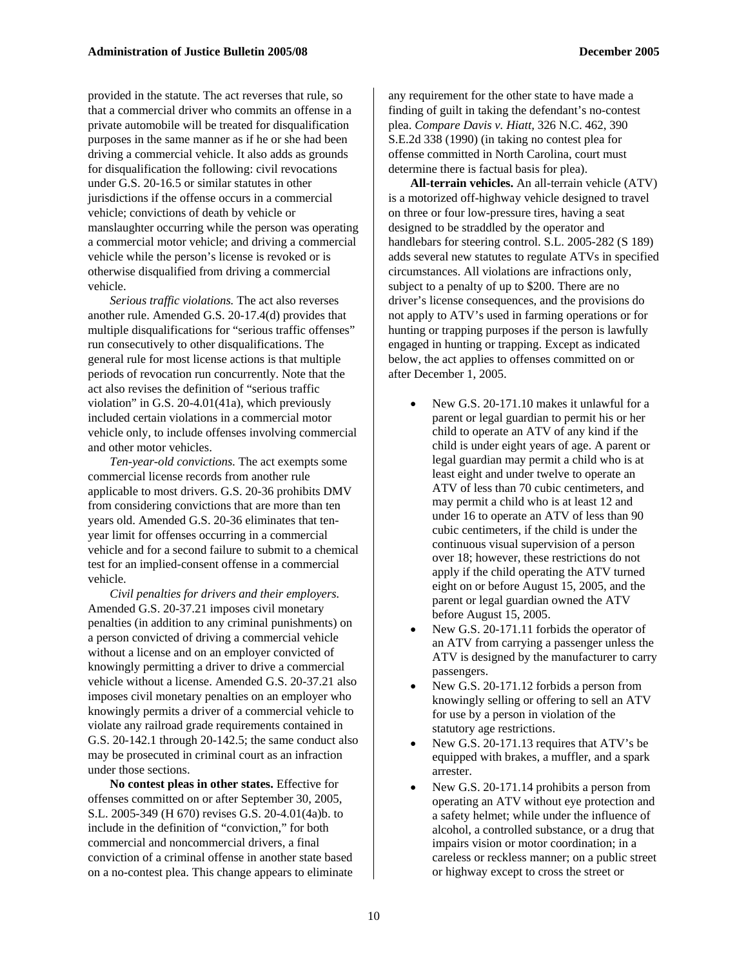provided in the statute. The act reverses that rule, so that a commercial driver who commits an offense in a private automobile will be treated for disqualification purposes in the same manner as if he or she had been driving a commercial vehicle. It also adds as grounds for disqualification the following: civil revocations under G.S. 20-16.5 or similar statutes in other jurisdictions if the offense occurs in a commercial vehicle; convictions of death by vehicle or manslaughter occurring while the person was operating a commercial motor vehicle; and driving a commercial vehicle while the person's license is revoked or is otherwise disqualified from driving a commercial vehicle.

*Serious traffic violations.* The act also reverses another rule. Amended G.S. 20-17.4(d) provides that multiple disqualifications for "serious traffic offenses" run consecutively to other disqualifications. The general rule for most license actions is that multiple periods of revocation run concurrently. Note that the act also revises the definition of "serious traffic violation" in G.S. 20-4.01(41a), which previously included certain violations in a commercial motor vehicle only, to include offenses involving commercial and other motor vehicles.

*Ten-year-old convictions.* The act exempts some commercial license records from another rule applicable to most drivers. G.S. 20-36 prohibits DMV from considering convictions that are more than ten years old. Amended G.S. 20-36 eliminates that tenyear limit for offenses occurring in a commercial vehicle and for a second failure to submit to a chemical test for an implied-consent offense in a commercial vehicle.

*Civil penalties for drivers and their employers.*  Amended G.S. 20-37.21 imposes civil monetary penalties (in addition to any criminal punishments) on a person convicted of driving a commercial vehicle without a license and on an employer convicted of knowingly permitting a driver to drive a commercial vehicle without a license. Amended G.S. 20-37.21 also imposes civil monetary penalties on an employer who knowingly permits a driver of a commercial vehicle to violate any railroad grade requirements contained in G.S. 20-142.1 through 20-142.5; the same conduct also may be prosecuted in criminal court as an infraction under those sections.

**No contest pleas in other states.** Effective for offenses committed on or after September 30, 2005, S.L. 2005-349 (H 670) revises G.S. 20-4.01(4a)b. to include in the definition of "conviction," for both commercial and noncommercial drivers, a final conviction of a criminal offense in another state based on a no-contest plea. This change appears to eliminate

any requirement for the other state to have made a finding of guilt in taking the defendant's no-contest plea. *Compare Davis v. Hiatt,* 326 N.C. 462, 390 S.E.2d 338 (1990) (in taking no contest plea for offense committed in North Carolina, court must determine there is factual basis for plea).

**All-terrain vehicles.** An all-terrain vehicle (ATV) is a motorized off-highway vehicle designed to travel on three or four low-pressure tires, having a seat designed to be straddled by the operator and handlebars for steering control. S.L. 2005-282 (S 189) adds several new statutes to regulate ATVs in specified circumstances. All violations are infractions only, subject to a penalty of up to \$200. There are no driver's license consequences, and the provisions do not apply to ATV's used in farming operations or for hunting or trapping purposes if the person is lawfully engaged in hunting or trapping. Except as indicated below, the act applies to offenses committed on or after December 1, 2005.

- New G.S. 20-171.10 makes it unlawful for a parent or legal guardian to permit his or her child to operate an ATV of any kind if the child is under eight years of age. A parent or legal guardian may permit a child who is at least eight and under twelve to operate an ATV of less than 70 cubic centimeters, and may permit a child who is at least 12 and under 16 to operate an ATV of less than 90 cubic centimeters, if the child is under the continuous visual supervision of a person over 18; however, these restrictions do not apply if the child operating the ATV turned eight on or before August 15, 2005, and the parent or legal guardian owned the ATV before August 15, 2005.
- New G.S. 20-171.11 forbids the operator of an ATV from carrying a passenger unless the ATV is designed by the manufacturer to carry passengers.
- New G.S. 20-171.12 forbids a person from knowingly selling or offering to sell an ATV for use by a person in violation of the statutory age restrictions.
- New G.S. 20-171.13 requires that ATV's be equipped with brakes, a muffler, and a spark arrester.
- New G.S. 20-171.14 prohibits a person from operating an ATV without eye protection and a safety helmet; while under the influence of alcohol, a controlled substance, or a drug that impairs vision or motor coordination; in a careless or reckless manner; on a public street or highway except to cross the street or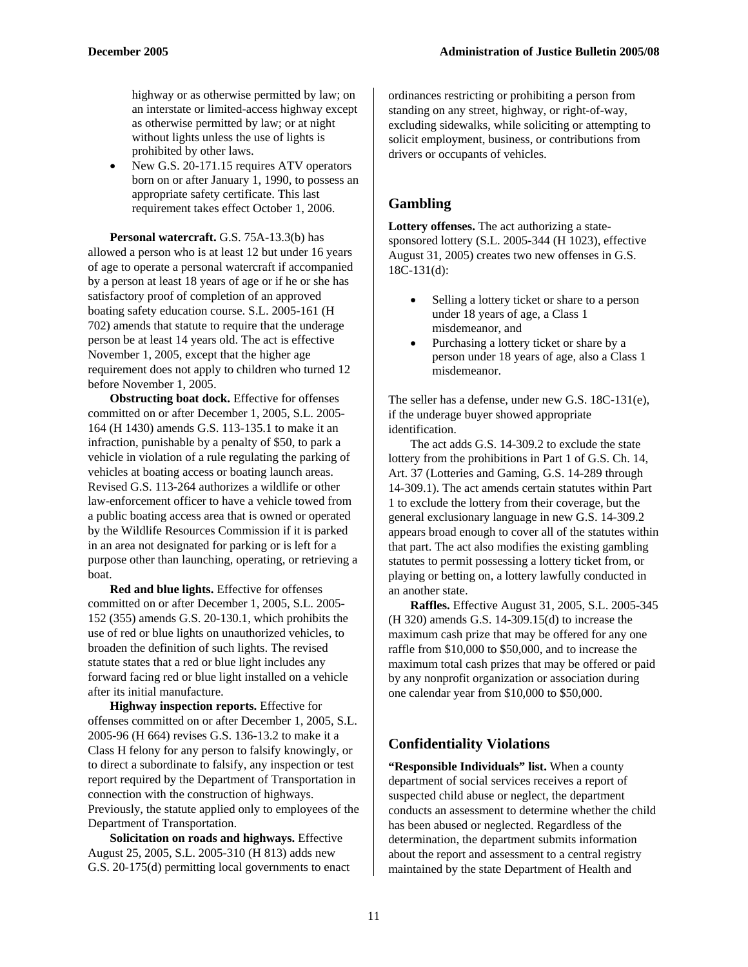highway or as otherwise permitted by law; on an interstate or limited-access highway except as otherwise permitted by law; or at night without lights unless the use of lights is prohibited by other laws.

• New G.S. 20-171.15 requires ATV operators born on or after January 1, 1990, to possess an appropriate safety certificate. This last requirement takes effect October 1, 2006.

**Personal watercraft.** G.S. 75A-13.3(b) has allowed a person who is at least 12 but under 16 years of age to operate a personal watercraft if accompanied by a person at least 18 years of age or if he or she has satisfactory proof of completion of an approved boating safety education course. S.L. 2005-161 (H 702) amends that statute to require that the underage person be at least 14 years old. The act is effective November 1, 2005, except that the higher age requirement does not apply to children who turned 12 before November 1, 2005.

**Obstructing boat dock.** Effective for offenses committed on or after December 1, 2005, S.L. 2005- 164 (H 1430) amends G.S. 113-135.1 to make it an infraction, punishable by a penalty of \$50, to park a vehicle in violation of a rule regulating the parking of vehicles at boating access or boating launch areas. Revised G.S. 113-264 authorizes a wildlife or other law-enforcement officer to have a vehicle towed from a public boating access area that is owned or operated by the Wildlife Resources Commission if it is parked in an area not designated for parking or is left for a purpose other than launching, operating, or retrieving a boat.

**Red and blue lights.** Effective for offenses committed on or after December 1, 2005, S.L. 2005- 152 (355) amends G.S. 20-130.1, which prohibits the use of red or blue lights on unauthorized vehicles, to broaden the definition of such lights. The revised statute states that a red or blue light includes any forward facing red or blue light installed on a vehicle after its initial manufacture.

**Highway inspection reports.** Effective for offenses committed on or after December 1, 2005, S.L. 2005-96 (H 664) revises G.S. 136-13.2 to make it a Class H felony for any person to falsify knowingly, or to direct a subordinate to falsify, any inspection or test report required by the Department of Transportation in connection with the construction of highways. Previously, the statute applied only to employees of the Department of Transportation.

**Solicitation on roads and highways.** Effective August 25, 2005, S.L. 2005-310 (H 813) adds new G.S. 20-175(d) permitting local governments to enact ordinances restricting or prohibiting a person from standing on any street, highway, or right-of-way, excluding sidewalks, while soliciting or attempting to solicit employment, business, or contributions from drivers or occupants of vehicles.

### **Gambling**

**Lottery offenses.** The act authorizing a statesponsored lottery (S.L. 2005-344 (H 1023), effective August 31, 2005) creates two new offenses in G.S. 18C-131(d):

- Selling a lottery ticket or share to a person under 18 years of age, a Class 1 misdemeanor, and
- Purchasing a lottery ticket or share by a person under 18 years of age, also a Class 1 misdemeanor.

The seller has a defense, under new G.S. 18C-131(e), if the underage buyer showed appropriate identification.

The act adds G.S. 14-309.2 to exclude the state lottery from the prohibitions in Part 1 of G.S. Ch. 14, Art. 37 (Lotteries and Gaming, G.S. 14-289 through 14-309.1). The act amends certain statutes within Part 1 to exclude the lottery from their coverage, but the general exclusionary language in new G.S. 14-309.2 appears broad enough to cover all of the statutes within that part. The act also modifies the existing gambling statutes to permit possessing a lottery ticket from, or playing or betting on, a lottery lawfully conducted in an another state.

**Raffles.** Effective August 31, 2005, S.L. 2005-345 (H 320) amends G.S. 14-309.15(d) to increase the maximum cash prize that may be offered for any one raffle from \$10,000 to \$50,000, and to increase the maximum total cash prizes that may be offered or paid by any nonprofit organization or association during one calendar year from \$10,000 to \$50,000.

#### **Confidentiality Violations**

**"Responsible Individuals" list.** When a county department of social services receives a report of suspected child abuse or neglect, the department conducts an assessment to determine whether the child has been abused or neglected. Regardless of the determination, the department submits information about the report and assessment to a central registry maintained by the state Department of Health and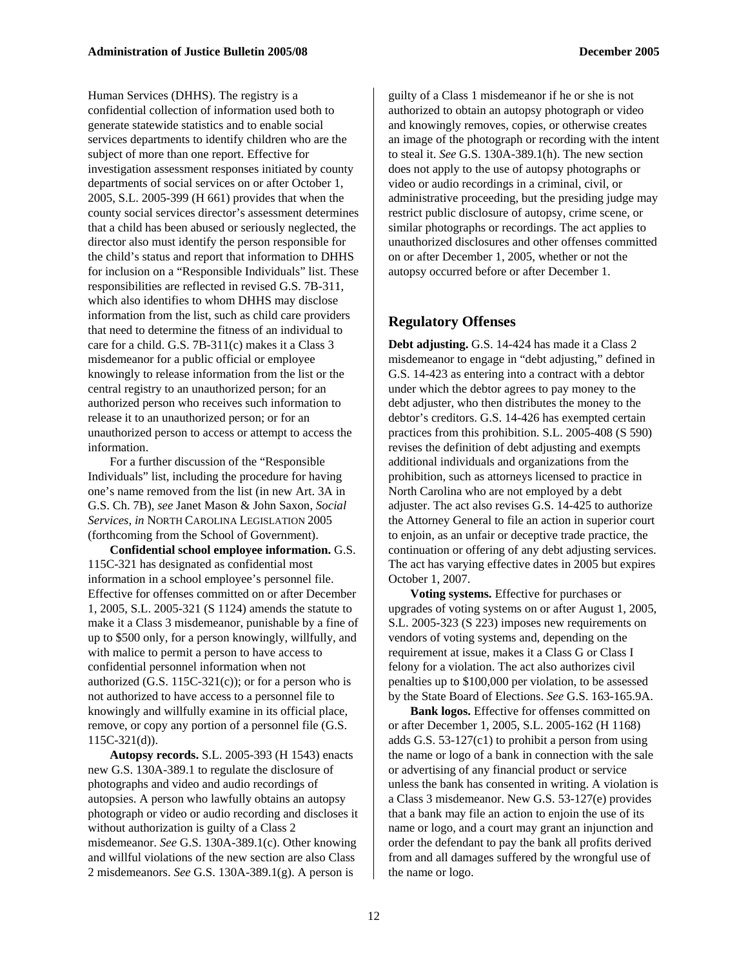Human Services (DHHS). The registry is a confidential collection of information used both to generate statewide statistics and to enable social services departments to identify children who are the subject of more than one report. Effective for investigation assessment responses initiated by county departments of social services on or after October 1, 2005, S.L. 2005-399 (H 661) provides that when the county social services director's assessment determines that a child has been abused or seriously neglected, the director also must identify the person responsible for the child's status and report that information to DHHS for inclusion on a "Responsible Individuals" list. These responsibilities are reflected in revised G.S. 7B-311, which also identifies to whom DHHS may disclose information from the list, such as child care providers that need to determine the fitness of an individual to care for a child. G.S. 7B-311(c) makes it a Class 3 misdemeanor for a public official or employee knowingly to release information from the list or the central registry to an unauthorized person; for an authorized person who receives such information to release it to an unauthorized person; or for an unauthorized person to access or attempt to access the information.

For a further discussion of the "Responsible Individuals" list, including the procedure for having one's name removed from the list (in new Art. 3A in G.S. Ch. 7B), *see* Janet Mason & John Saxon, *Social Services, in* NORTH CAROLINA LEGISLATION 2005 (forthcoming from the School of Government).

**Confidential school employee information.** G.S. 115C-321 has designated as confidential most information in a school employee's personnel file. Effective for offenses committed on or after December 1, 2005, S.L. 2005-321 (S 1124) amends the statute to make it a Class 3 misdemeanor, punishable by a fine of up to \$500 only, for a person knowingly, willfully, and with malice to permit a person to have access to confidential personnel information when not authorized  $(G.S. 115C-321(c))$ ; or for a person who is not authorized to have access to a personnel file to knowingly and willfully examine in its official place, remove, or copy any portion of a personnel file (G.S. 115C-321(d)).

**Autopsy records.** S.L. 2005-393 (H 1543) enacts new G.S. 130A-389.1 to regulate the disclosure of photographs and video and audio recordings of autopsies. A person who lawfully obtains an autopsy photograph or video or audio recording and discloses it without authorization is guilty of a Class 2 misdemeanor. *See* G.S. 130A-389.1(c). Other knowing and willful violations of the new section are also Class 2 misdemeanors. *See* G.S. 130A-389.1(g). A person is

guilty of a Class 1 misdemeanor if he or she is not authorized to obtain an autopsy photograph or video and knowingly removes, copies, or otherwise creates an image of the photograph or recording with the intent to steal it. *See* G.S. 130A-389.1(h). The new section does not apply to the use of autopsy photographs or video or audio recordings in a criminal, civil, or administrative proceeding, but the presiding judge may restrict public disclosure of autopsy, crime scene, or similar photographs or recordings. The act applies to unauthorized disclosures and other offenses committed on or after December 1, 2005, whether or not the autopsy occurred before or after December 1.

#### **Regulatory Offenses**

**Debt adjusting.** G.S. 14-424 has made it a Class 2 misdemeanor to engage in "debt adjusting," defined in G.S. 14-423 as entering into a contract with a debtor under which the debtor agrees to pay money to the debt adjuster, who then distributes the money to the debtor's creditors. G.S. 14-426 has exempted certain practices from this prohibition. S.L. 2005-408 (S 590) revises the definition of debt adjusting and exempts additional individuals and organizations from the prohibition, such as attorneys licensed to practice in North Carolina who are not employed by a debt adjuster. The act also revises G.S. 14-425 to authorize the Attorney General to file an action in superior court to enjoin, as an unfair or deceptive trade practice, the continuation or offering of any debt adjusting services. The act has varying effective dates in 2005 but expires October 1, 2007.

**Voting systems.** Effective for purchases or upgrades of voting systems on or after August 1, 2005, S.L. 2005-323 (S 223) imposes new requirements on vendors of voting systems and, depending on the requirement at issue, makes it a Class G or Class I felony for a violation. The act also authorizes civil penalties up to \$100,000 per violation, to be assessed by the State Board of Elections. *See* G.S. 163-165.9A.

**Bank logos.** Effective for offenses committed on or after December 1, 2005, S.L. 2005-162 (H 1168) adds G.S. 53-127(c1) to prohibit a person from using the name or logo of a bank in connection with the sale or advertising of any financial product or service unless the bank has consented in writing. A violation is a Class 3 misdemeanor. New G.S. 53-127(e) provides that a bank may file an action to enjoin the use of its name or logo, and a court may grant an injunction and order the defendant to pay the bank all profits derived from and all damages suffered by the wrongful use of the name or logo.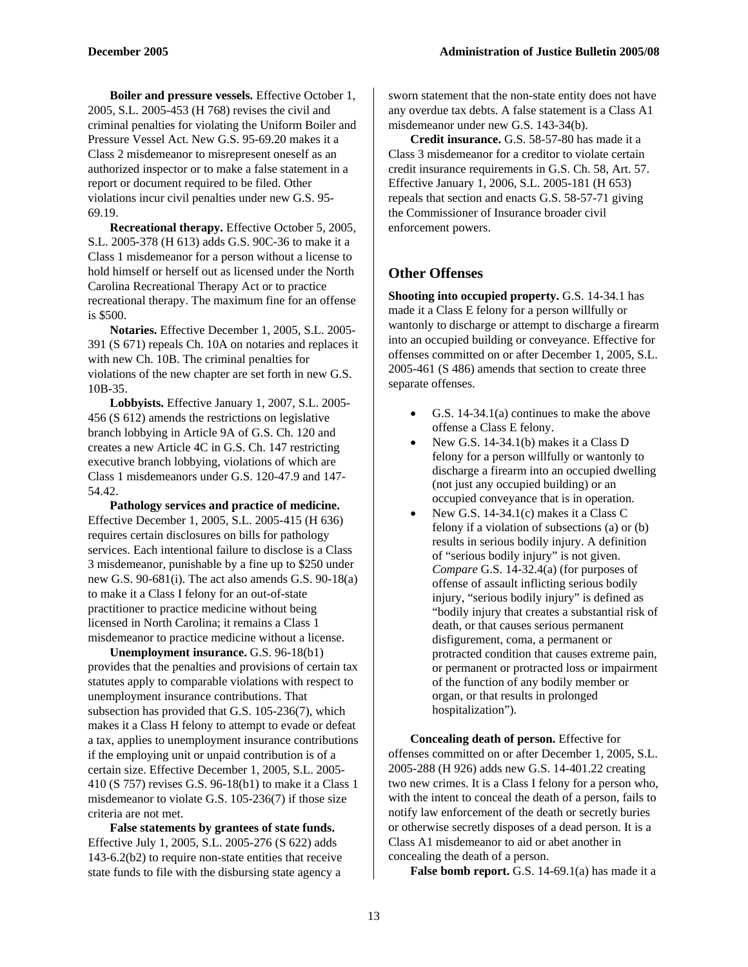**Boiler and pressure vessels.** Effective October 1, 2005, S.L. 2005-453 (H 768) revises the civil and criminal penalties for violating the Uniform Boiler and Pressure Vessel Act. New G.S. 95-69.20 makes it a Class 2 misdemeanor to misrepresent oneself as an authorized inspector or to make a false statement in a report or document required to be filed. Other violations incur civil penalties under new G.S. 95- 69.19.

**Recreational therapy.** Effective October 5, 2005, S.L. 2005-378 (H 613) adds G.S. 90C-36 to make it a Class 1 misdemeanor for a person without a license to hold himself or herself out as licensed under the North Carolina Recreational Therapy Act or to practice recreational therapy. The maximum fine for an offense is \$500.

**Notaries.** Effective December 1, 2005, S.L. 2005- 391 (S 671) repeals Ch. 10A on notaries and replaces it with new Ch. 10B. The criminal penalties for violations of the new chapter are set forth in new G.S. 10B-35.

**Lobbyists.** Effective January 1, 2007, S.L. 2005- 456 (S 612) amends the restrictions on legislative branch lobbying in Article 9A of G.S. Ch. 120 and creates a new Article 4C in G.S. Ch. 147 restricting executive branch lobbying, violations of which are Class 1 misdemeanors under G.S. 120-47.9 and 147- 54.42.

**Pathology services and practice of medicine.**  Effective December 1, 2005, S.L. 2005-415 (H 636) requires certain disclosures on bills for pathology services. Each intentional failure to disclose is a Class 3 misdemeanor, punishable by a fine up to \$250 under new G.S. 90-681(i). The act also amends G.S. 90-18(a) to make it a Class I felony for an out-of-state practitioner to practice medicine without being licensed in North Carolina; it remains a Class 1 misdemeanor to practice medicine without a license.

**Unemployment insurance.** G.S. 96-18(b1) provides that the penalties and provisions of certain tax statutes apply to comparable violations with respect to unemployment insurance contributions. That subsection has provided that G.S. 105-236(7), which makes it a Class H felony to attempt to evade or defeat a tax, applies to unemployment insurance contributions if the employing unit or unpaid contribution is of a certain size. Effective December 1, 2005, S.L. 2005- 410 (S 757) revises G.S. 96-18(b1) to make it a Class 1 misdemeanor to violate G.S. 105-236(7) if those size criteria are not met.

**False statements by grantees of state funds.**  Effective July 1, 2005, S.L. 2005-276 (S 622) adds 143-6.2(b2) to require non-state entities that receive state funds to file with the disbursing state agency a

sworn statement that the non-state entity does not have any overdue tax debts. A false statement is a Class A1 misdemeanor under new G.S. 143-34(b).

**Credit insurance.** G.S. 58-57-80 has made it a Class 3 misdemeanor for a creditor to violate certain credit insurance requirements in G.S. Ch. 58, Art. 57. Effective January 1, 2006, S.L. 2005-181 (H 653) repeals that section and enacts G.S. 58-57-71 giving the Commissioner of Insurance broader civil enforcement powers.

## **Other Offenses**

**Shooting into occupied property.** G.S. 14-34.1 has made it a Class E felony for a person willfully or wantonly to discharge or attempt to discharge a firearm into an occupied building or conveyance. Effective for offenses committed on or after December 1, 2005, S.L. 2005-461 (S 486) amends that section to create three separate offenses.

- G.S. 14-34.1(a) continues to make the above offense a Class E felony.
- New G.S. 14-34.1(b) makes it a Class D felony for a person willfully or wantonly to discharge a firearm into an occupied dwelling (not just any occupied building) or an occupied conveyance that is in operation.
- New G.S. 14-34.1(c) makes it a Class C felony if a violation of subsections (a) or (b) results in serious bodily injury. A definition of "serious bodily injury" is not given. *Compare* G.S. 14-32.4(a) (for purposes of offense of assault inflicting serious bodily injury, "serious bodily injury" is defined as "bodily injury that creates a substantial risk of death, or that causes serious permanent disfigurement, coma, a permanent or protracted condition that causes extreme pain, or permanent or protracted loss or impairment of the function of any bodily member or organ, or that results in prolonged hospitalization").

**Concealing death of person.** Effective for offenses committed on or after December 1, 2005, S.L. 2005-288 (H 926) adds new G.S. 14-401.22 creating two new crimes. It is a Class I felony for a person who, with the intent to conceal the death of a person, fails to notify law enforcement of the death or secretly buries or otherwise secretly disposes of a dead person. It is a Class A1 misdemeanor to aid or abet another in concealing the death of a person.

False bomb report. G.S. 14-69.1(a) has made it a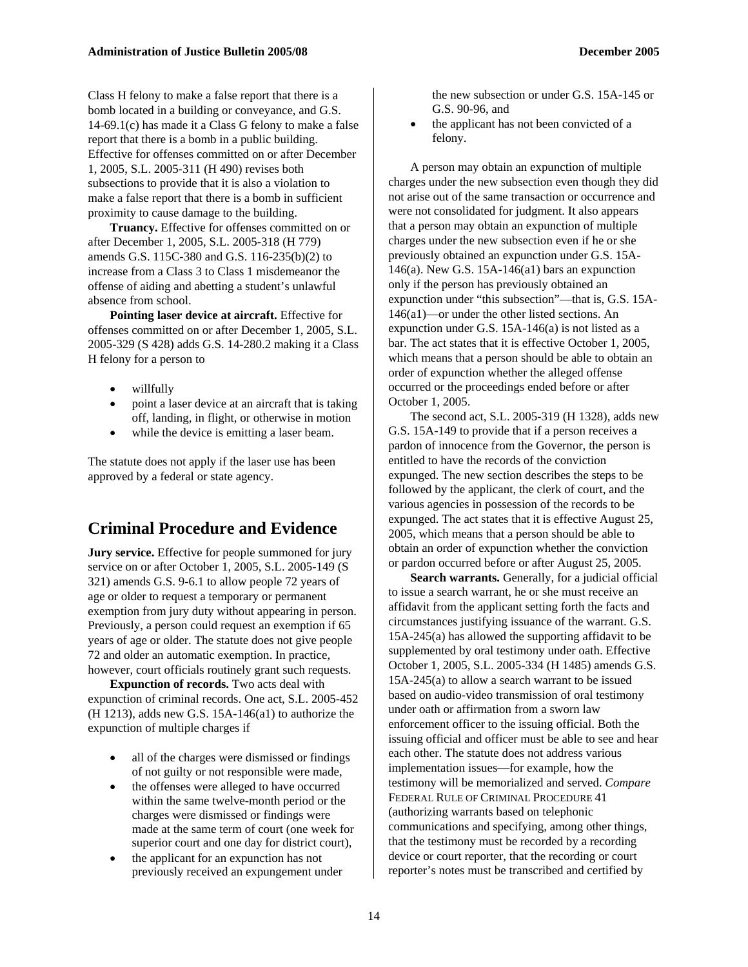Class H felony to make a false report that there is a bomb located in a building or conveyance, and G.S. 14-69.1(c) has made it a Class G felony to make a false report that there is a bomb in a public building. Effective for offenses committed on or after December 1, 2005, S.L. 2005-311 (H 490) revises both subsections to provide that it is also a violation to make a false report that there is a bomb in sufficient proximity to cause damage to the building.

**Truancy.** Effective for offenses committed on or after December 1, 2005, S.L. 2005-318 (H 779) amends G.S. 115C-380 and G.S. 116-235(b)(2) to increase from a Class 3 to Class 1 misdemeanor the offense of aiding and abetting a student's unlawful absence from school.

**Pointing laser device at aircraft.** Effective for offenses committed on or after December 1, 2005, S.L. 2005-329 (S 428) adds G.S. 14-280.2 making it a Class H felony for a person to

- willfully
- point a laser device at an aircraft that is taking off, landing, in flight, or otherwise in motion
- while the device is emitting a laser beam.

The statute does not apply if the laser use has been approved by a federal or state agency.

## **Criminal Procedure and Evidence**

**Jury service.** Effective for people summoned for jury service on or after October 1, 2005, S.L. 2005-149 (S 321) amends G.S. 9-6.1 to allow people 72 years of age or older to request a temporary or permanent exemption from jury duty without appearing in person. Previously, a person could request an exemption if 65 years of age or older. The statute does not give people 72 and older an automatic exemption. In practice, however, court officials routinely grant such requests.

**Expunction of records.** Two acts deal with expunction of criminal records. One act, S.L. 2005-452 (H 1213), adds new G.S. 15A-146(a1) to authorize the expunction of multiple charges if

- all of the charges were dismissed or findings of not guilty or not responsible were made,
- the offenses were alleged to have occurred within the same twelve-month period or the charges were dismissed or findings were made at the same term of court (one week for superior court and one day for district court),
- the applicant for an expunction has not previously received an expungement under

the new subsection or under G.S. 15A-145 or G.S. 90-96, and

the applicant has not been convicted of a felony.

A person may obtain an expunction of multiple charges under the new subsection even though they did not arise out of the same transaction or occurrence and were not consolidated for judgment. It also appears that a person may obtain an expunction of multiple charges under the new subsection even if he or she previously obtained an expunction under G.S. 15A-146(a). New G.S. 15A-146(a1) bars an expunction only if the person has previously obtained an expunction under "this subsection"—that is, G.S. 15A-146(a1)—or under the other listed sections. An expunction under G.S. 15A-146(a) is not listed as a bar. The act states that it is effective October 1, 2005, which means that a person should be able to obtain an order of expunction whether the alleged offense occurred or the proceedings ended before or after October 1, 2005.

The second act, S.L. 2005-319 (H 1328), adds new G.S. 15A-149 to provide that if a person receives a pardon of innocence from the Governor, the person is entitled to have the records of the conviction expunged. The new section describes the steps to be followed by the applicant, the clerk of court, and the various agencies in possession of the records to be expunged. The act states that it is effective August 25, 2005, which means that a person should be able to obtain an order of expunction whether the conviction or pardon occurred before or after August 25, 2005.

**Search warrants.** Generally, for a judicial official to issue a search warrant, he or she must receive an affidavit from the applicant setting forth the facts and circumstances justifying issuance of the warrant. G.S. 15A-245(a) has allowed the supporting affidavit to be supplemented by oral testimony under oath. Effective October 1, 2005, S.L. 2005-334 (H 1485) amends G.S. 15A-245(a) to allow a search warrant to be issued based on audio-video transmission of oral testimony under oath or affirmation from a sworn law enforcement officer to the issuing official. Both the issuing official and officer must be able to see and hear each other. The statute does not address various implementation issues—for example, how the testimony will be memorialized and served. *Compare*  FEDERAL RULE OF CRIMINAL PROCEDURE 41 (authorizing warrants based on telephonic communications and specifying, among other things, that the testimony must be recorded by a recording device or court reporter, that the recording or court reporter's notes must be transcribed and certified by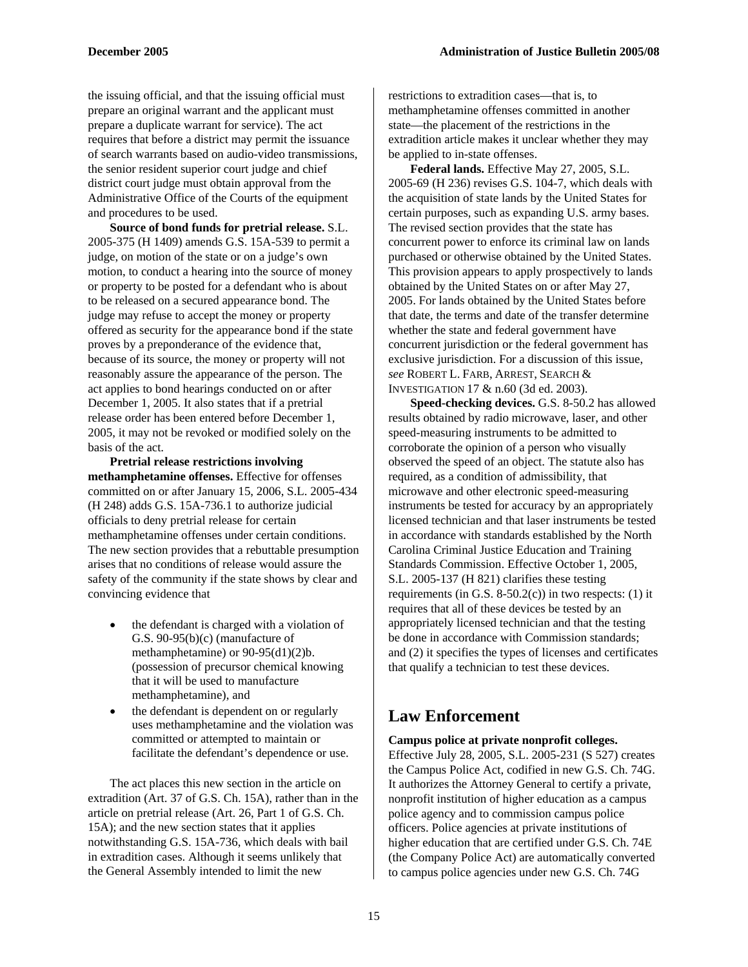the issuing official, and that the issuing official must prepare an original warrant and the applicant must prepare a duplicate warrant for service). The act requires that before a district may permit the issuance of search warrants based on audio-video transmissions, the senior resident superior court judge and chief district court judge must obtain approval from the Administrative Office of the Courts of the equipment and procedures to be used.

**Source of bond funds for pretrial release.** S.L. 2005-375 (H 1409) amends G.S. 15A-539 to permit a judge, on motion of the state or on a judge's own motion, to conduct a hearing into the source of money or property to be posted for a defendant who is about to be released on a secured appearance bond. The judge may refuse to accept the money or property offered as security for the appearance bond if the state proves by a preponderance of the evidence that, because of its source, the money or property will not reasonably assure the appearance of the person. The act applies to bond hearings conducted on or after December 1, 2005. It also states that if a pretrial release order has been entered before December 1, 2005, it may not be revoked or modified solely on the basis of the act.

**Pretrial release restrictions involving methamphetamine offenses.** Effective for offenses committed on or after January 15, 2006, S.L. 2005-434 (H 248) adds G.S. 15A-736.1 to authorize judicial officials to deny pretrial release for certain methamphetamine offenses under certain conditions. The new section provides that a rebuttable presumption arises that no conditions of release would assure the safety of the community if the state shows by clear and convincing evidence that

- the defendant is charged with a violation of G.S. 90-95(b)(c) (manufacture of methamphetamine) or 90-95(d1)(2)b. (possession of precursor chemical knowing that it will be used to manufacture methamphetamine), and
- the defendant is dependent on or regularly uses methamphetamine and the violation was committed or attempted to maintain or facilitate the defendant's dependence or use.

The act places this new section in the article on extradition (Art. 37 of G.S. Ch. 15A), rather than in the article on pretrial release (Art. 26, Part 1 of G.S. Ch. 15A); and the new section states that it applies notwithstanding G.S. 15A-736, which deals with bail in extradition cases. Although it seems unlikely that the General Assembly intended to limit the new

restrictions to extradition cases—that is, to methamphetamine offenses committed in another state—the placement of the restrictions in the extradition article makes it unclear whether they may be applied to in-state offenses.

**Federal lands.** Effective May 27, 2005, S.L. 2005-69 (H 236) revises G.S. 104-7, which deals with the acquisition of state lands by the United States for certain purposes, such as expanding U.S. army bases. The revised section provides that the state has concurrent power to enforce its criminal law on lands purchased or otherwise obtained by the United States. This provision appears to apply prospectively to lands obtained by the United States on or after May 27, 2005. For lands obtained by the United States before that date, the terms and date of the transfer determine whether the state and federal government have concurrent jurisdiction or the federal government has exclusive jurisdiction. For a discussion of this issue, *see* ROBERT L. FARB, ARREST, SEARCH & INVESTIGATION 17 & n.60 (3d ed. 2003).

**Speed-checking devices.** G.S. 8-50.2 has allowed results obtained by radio microwave, laser, and other speed-measuring instruments to be admitted to corroborate the opinion of a person who visually observed the speed of an object. The statute also has required, as a condition of admissibility, that microwave and other electronic speed-measuring instruments be tested for accuracy by an appropriately licensed technician and that laser instruments be tested in accordance with standards established by the North Carolina Criminal Justice Education and Training Standards Commission. Effective October 1, 2005, S.L. 2005-137 (H 821) clarifies these testing requirements (in G.S.  $8-50.2(c)$ ) in two respects: (1) it requires that all of these devices be tested by an appropriately licensed technician and that the testing be done in accordance with Commission standards; and (2) it specifies the types of licenses and certificates that qualify a technician to test these devices.

## **Law Enforcement**

## **Campus police at private nonprofit colleges.**

Effective July 28, 2005, S.L. 2005-231 (S 527) creates the Campus Police Act, codified in new G.S. Ch. 74G. It authorizes the Attorney General to certify a private, nonprofit institution of higher education as a campus police agency and to commission campus police officers. Police agencies at private institutions of higher education that are certified under G.S. Ch. 74E (the Company Police Act) are automatically converted to campus police agencies under new G.S. Ch. 74G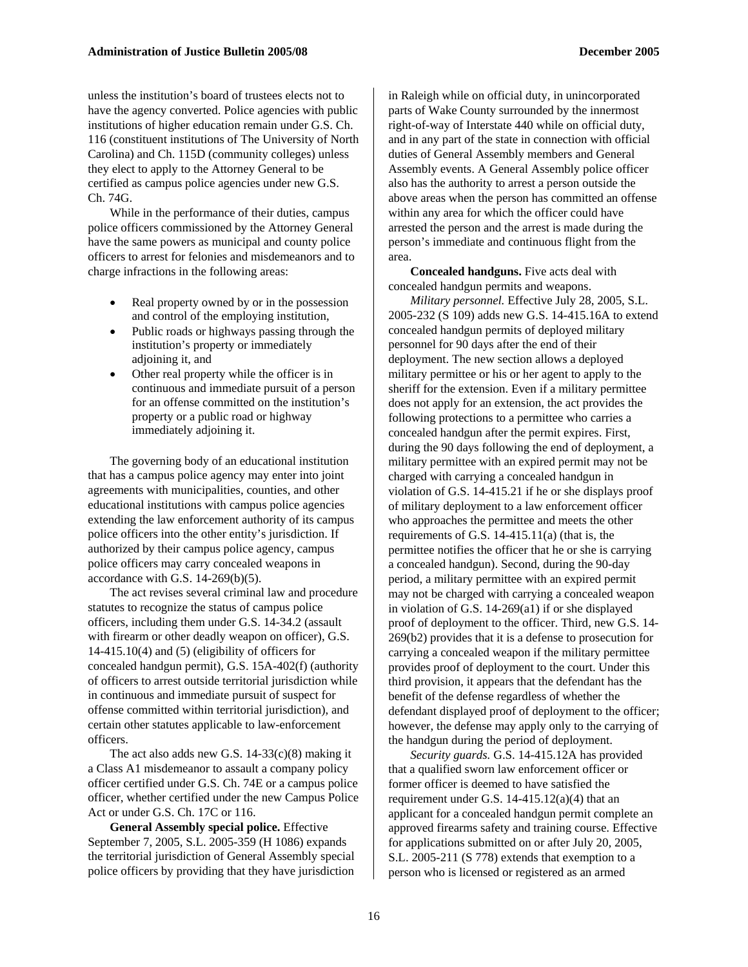unless the institution's board of trustees elects not to have the agency converted. Police agencies with public institutions of higher education remain under G.S. Ch. 116 (constituent institutions of The University of North Carolina) and Ch. 115D (community colleges) unless they elect to apply to the Attorney General to be certified as campus police agencies under new G.S. Ch. 74G.

While in the performance of their duties, campus police officers commissioned by the Attorney General have the same powers as municipal and county police officers to arrest for felonies and misdemeanors and to charge infractions in the following areas:

- Real property owned by or in the possession and control of the employing institution,
- Public roads or highways passing through the institution's property or immediately adjoining it, and
- Other real property while the officer is in continuous and immediate pursuit of a person for an offense committed on the institution's property or a public road or highway immediately adjoining it.

The governing body of an educational institution that has a campus police agency may enter into joint agreements with municipalities, counties, and other educational institutions with campus police agencies extending the law enforcement authority of its campus police officers into the other entity's jurisdiction. If authorized by their campus police agency, campus police officers may carry concealed weapons in accordance with G.S. 14-269(b)(5).

The act revises several criminal law and procedure statutes to recognize the status of campus police officers, including them under G.S. 14-34.2 (assault with firearm or other deadly weapon on officer), G.S. 14-415.10(4) and (5) (eligibility of officers for concealed handgun permit), G.S. 15A-402(f) (authority of officers to arrest outside territorial jurisdiction while in continuous and immediate pursuit of suspect for offense committed within territorial jurisdiction), and certain other statutes applicable to law-enforcement officers.

The act also adds new G.S.  $14-33(c)(8)$  making it a Class A1 misdemeanor to assault a company policy officer certified under G.S. Ch. 74E or a campus police officer, whether certified under the new Campus Police Act or under G.S. Ch. 17C or 116.

**General Assembly special police.** Effective September 7, 2005, S.L. 2005-359 (H 1086) expands the territorial jurisdiction of General Assembly special police officers by providing that they have jurisdiction in Raleigh while on official duty, in unincorporated parts of Wake County surrounded by the innermost right-of-way of Interstate 440 while on official duty, and in any part of the state in connection with official duties of General Assembly members and General Assembly events. A General Assembly police officer also has the authority to arrest a person outside the above areas when the person has committed an offense within any area for which the officer could have arrested the person and the arrest is made during the person's immediate and continuous flight from the area.

**Concealed handguns.** Five acts deal with concealed handgun permits and weapons.

*Military personnel.* Effective July 28, 2005, S.L. 2005-232 (S 109) adds new G.S. 14-415.16A to extend concealed handgun permits of deployed military personnel for 90 days after the end of their deployment. The new section allows a deployed military permittee or his or her agent to apply to the sheriff for the extension. Even if a military permittee does not apply for an extension, the act provides the following protections to a permittee who carries a concealed handgun after the permit expires. First, during the 90 days following the end of deployment, a military permittee with an expired permit may not be charged with carrying a concealed handgun in violation of G.S. 14-415.21 if he or she displays proof of military deployment to a law enforcement officer who approaches the permittee and meets the other requirements of G.S. 14-415.11(a) (that is, the permittee notifies the officer that he or she is carrying a concealed handgun). Second, during the 90-day period, a military permittee with an expired permit may not be charged with carrying a concealed weapon in violation of G.S. 14-269(a1) if or she displayed proof of deployment to the officer. Third, new G.S. 14- 269(b2) provides that it is a defense to prosecution for carrying a concealed weapon if the military permittee provides proof of deployment to the court. Under this third provision, it appears that the defendant has the benefit of the defense regardless of whether the defendant displayed proof of deployment to the officer; however, the defense may apply only to the carrying of the handgun during the period of deployment.

*Security guards.* G.S. 14-415.12A has provided that a qualified sworn law enforcement officer or former officer is deemed to have satisfied the requirement under G.S.  $14-415.12(a)(4)$  that an applicant for a concealed handgun permit complete an approved firearms safety and training course. Effective for applications submitted on or after July 20, 2005, S.L. 2005-211 (S 778) extends that exemption to a person who is licensed or registered as an armed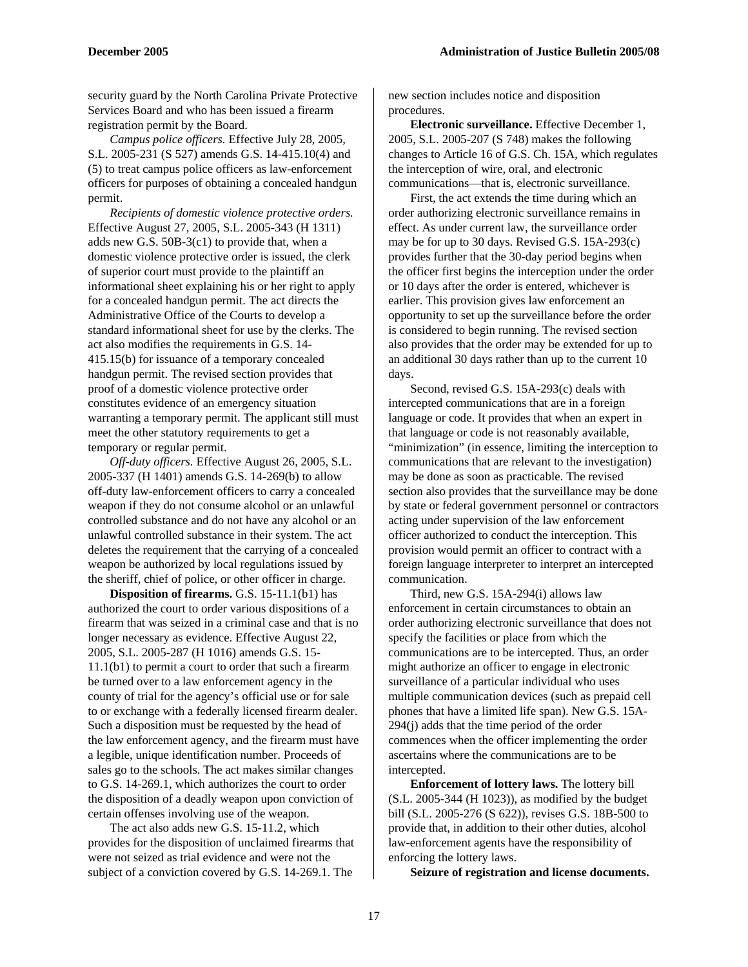security guard by the North Carolina Private Protective Services Board and who has been issued a firearm registration permit by the Board.

*Campus police officers.* Effective July 28, 2005, S.L. 2005-231 (S 527) amends G.S. 14-415.10(4) and (5) to treat campus police officers as law-enforcement officers for purposes of obtaining a concealed handgun permit.

*Recipients of domestic violence protective orders.*  Effective August 27, 2005, S.L. 2005-343 (H 1311) adds new G.S. 50B-3(c1) to provide that, when a domestic violence protective order is issued, the clerk of superior court must provide to the plaintiff an informational sheet explaining his or her right to apply for a concealed handgun permit. The act directs the Administrative Office of the Courts to develop a standard informational sheet for use by the clerks. The act also modifies the requirements in G.S. 14- 415.15(b) for issuance of a temporary concealed handgun permit. The revised section provides that proof of a domestic violence protective order constitutes evidence of an emergency situation warranting a temporary permit. The applicant still must meet the other statutory requirements to get a temporary or regular permit.

*Off-duty officers.* Effective August 26, 2005, S.L. 2005-337 (H 1401) amends G.S. 14-269(b) to allow off-duty law-enforcement officers to carry a concealed weapon if they do not consume alcohol or an unlawful controlled substance and do not have any alcohol or an unlawful controlled substance in their system. The act deletes the requirement that the carrying of a concealed weapon be authorized by local regulations issued by the sheriff, chief of police, or other officer in charge.

**Disposition of firearms.** G.S. 15-11.1(b1) has authorized the court to order various dispositions of a firearm that was seized in a criminal case and that is no longer necessary as evidence. Effective August 22, 2005, S.L. 2005-287 (H 1016) amends G.S. 15- 11.1(b1) to permit a court to order that such a firearm be turned over to a law enforcement agency in the county of trial for the agency's official use or for sale to or exchange with a federally licensed firearm dealer. Such a disposition must be requested by the head of the law enforcement agency, and the firearm must have a legible, unique identification number. Proceeds of sales go to the schools. The act makes similar changes to G.S. 14-269.1, which authorizes the court to order the disposition of a deadly weapon upon conviction of certain offenses involving use of the weapon.

The act also adds new G.S. 15-11.2, which provides for the disposition of unclaimed firearms that were not seized as trial evidence and were not the subject of a conviction covered by G.S. 14-269.1. The

new section includes notice and disposition procedures.

**Electronic surveillance.** Effective December 1, 2005, S.L. 2005-207 (S 748) makes the following changes to Article 16 of G.S. Ch. 15A, which regulates the interception of wire, oral, and electronic communications—that is, electronic surveillance.

First, the act extends the time during which an order authorizing electronic surveillance remains in effect. As under current law, the surveillance order may be for up to 30 days. Revised G.S. 15A-293(c) provides further that the 30-day period begins when the officer first begins the interception under the order or 10 days after the order is entered, whichever is earlier. This provision gives law enforcement an opportunity to set up the surveillance before the order is considered to begin running. The revised section also provides that the order may be extended for up to an additional 30 days rather than up to the current 10 days.

Second, revised G.S. 15A-293(c) deals with intercepted communications that are in a foreign language or code. It provides that when an expert in that language or code is not reasonably available, "minimization" (in essence, limiting the interception to communications that are relevant to the investigation) may be done as soon as practicable. The revised section also provides that the surveillance may be done by state or federal government personnel or contractors acting under supervision of the law enforcement officer authorized to conduct the interception. This provision would permit an officer to contract with a foreign language interpreter to interpret an intercepted communication.

Third, new G.S. 15A-294(i) allows law enforcement in certain circumstances to obtain an order authorizing electronic surveillance that does not specify the facilities or place from which the communications are to be intercepted. Thus, an order might authorize an officer to engage in electronic surveillance of a particular individual who uses multiple communication devices (such as prepaid cell phones that have a limited life span). New G.S. 15A-294(j) adds that the time period of the order commences when the officer implementing the order ascertains where the communications are to be intercepted.

**Enforcement of lottery laws.** The lottery bill (S.L. 2005-344 (H 1023)), as modified by the budget bill (S.L. 2005-276 (S 622)), revises G.S. 18B-500 to provide that, in addition to their other duties, alcohol law-enforcement agents have the responsibility of enforcing the lottery laws.

**Seizure of registration and license documents.**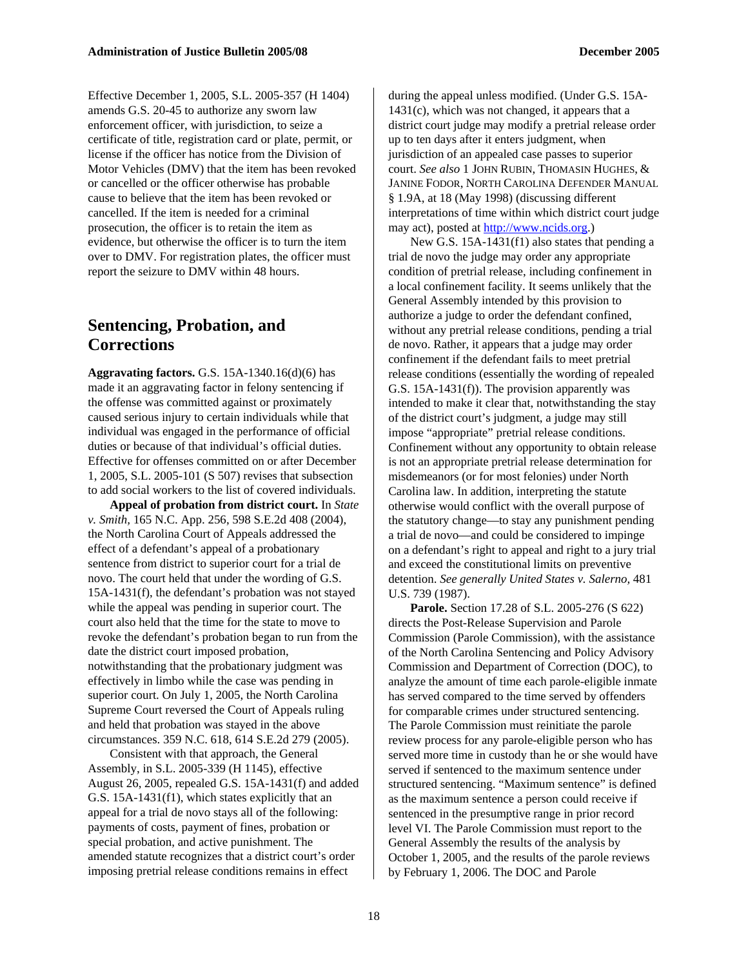Effective December 1, 2005, S.L. 2005-357 (H 1404) amends G.S. 20-45 to authorize any sworn law enforcement officer, with jurisdiction, to seize a certificate of title, registration card or plate, permit, or license if the officer has notice from the Division of Motor Vehicles (DMV) that the item has been revoked or cancelled or the officer otherwise has probable cause to believe that the item has been revoked or cancelled. If the item is needed for a criminal prosecution, the officer is to retain the item as evidence, but otherwise the officer is to turn the item over to DMV. For registration plates, the officer must report the seizure to DMV within 48 hours.

## **Sentencing, Probation, and Corrections**

**Aggravating factors.** G.S. 15A-1340.16(d)(6) has made it an aggravating factor in felony sentencing if the offense was committed against or proximately caused serious injury to certain individuals while that individual was engaged in the performance of official duties or because of that individual's official duties. Effective for offenses committed on or after December 1, 2005, S.L. 2005-101 (S 507) revises that subsection to add social workers to the list of covered individuals.

**Appeal of probation from district court.** In *State v. Smith,* 165 N.C. App. 256, 598 S.E.2d 408 (2004), the North Carolina Court of Appeals addressed the effect of a defendant's appeal of a probationary sentence from district to superior court for a trial de novo. The court held that under the wording of G.S. 15A-1431(f), the defendant's probation was not stayed while the appeal was pending in superior court. The court also held that the time for the state to move to revoke the defendant's probation began to run from the date the district court imposed probation, notwithstanding that the probationary judgment was effectively in limbo while the case was pending in superior court. On July 1, 2005, the North Carolina Supreme Court reversed the Court of Appeals ruling and held that probation was stayed in the above circumstances. 359 N.C. 618, 614 S.E.2d 279 (2005).

Consistent with that approach, the General Assembly, in S.L. 2005-339 (H 1145), effective August 26, 2005, repealed G.S. 15A-1431(f) and added G.S. 15A-1431(f1), which states explicitly that an appeal for a trial de novo stays all of the following: payments of costs, payment of fines, probation or special probation, and active punishment. The amended statute recognizes that a district court's order imposing pretrial release conditions remains in effect

during the appeal unless modified. (Under G.S. 15A-1431(c), which was not changed, it appears that a district court judge may modify a pretrial release order up to ten days after it enters judgment, when jurisdiction of an appealed case passes to superior court. *See also* 1 JOHN RUBIN, THOMASIN HUGHES, & JANINE FODOR, NORTH CAROLINA DEFENDER MANUAL § 1.9A, at 18 (May 1998) (discussing different interpretations of time within which district court judge may act), posted at [http://www.ncids.org](http://www.ncids.org/).)

New G.S. 15A-1431(f1) also states that pending a trial de novo the judge may order any appropriate condition of pretrial release, including confinement in a local confinement facility. It seems unlikely that the General Assembly intended by this provision to authorize a judge to order the defendant confined, without any pretrial release conditions, pending a trial de novo. Rather, it appears that a judge may order confinement if the defendant fails to meet pretrial release conditions (essentially the wording of repealed G.S. 15A-1431(f)). The provision apparently was intended to make it clear that, notwithstanding the stay of the district court's judgment, a judge may still impose "appropriate" pretrial release conditions. Confinement without any opportunity to obtain release is not an appropriate pretrial release determination for misdemeanors (or for most felonies) under North Carolina law. In addition, interpreting the statute otherwise would conflict with the overall purpose of the statutory change—to stay any punishment pending a trial de novo—and could be considered to impinge on a defendant's right to appeal and right to a jury trial and exceed the constitutional limits on preventive detention. *See generally United States v. Salerno,* 481 U.S. 739 (1987).

**Parole.** Section 17.28 of S.L. 2005-276 (S 622) directs the Post-Release Supervision and Parole Commission (Parole Commission), with the assistance of the North Carolina Sentencing and Policy Advisory Commission and Department of Correction (DOC), to analyze the amount of time each parole-eligible inmate has served compared to the time served by offenders for comparable crimes under structured sentencing. The Parole Commission must reinitiate the parole review process for any parole-eligible person who has served more time in custody than he or she would have served if sentenced to the maximum sentence under structured sentencing. "Maximum sentence" is defined as the maximum sentence a person could receive if sentenced in the presumptive range in prior record level VI. The Parole Commission must report to the General Assembly the results of the analysis by October 1, 2005, and the results of the parole reviews by February 1, 2006. The DOC and Parole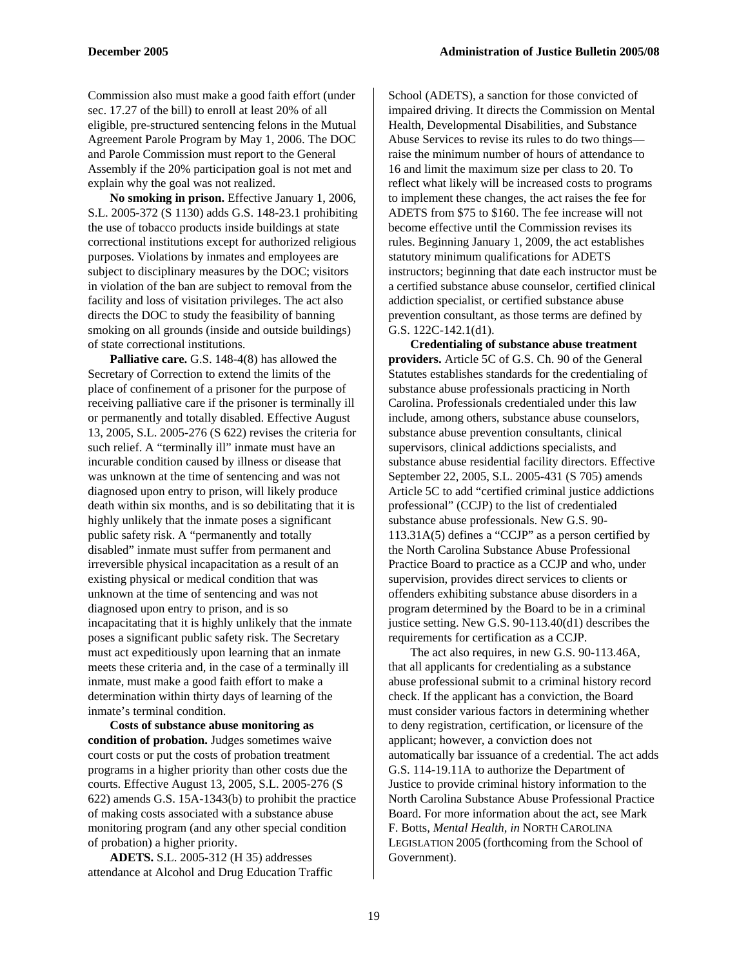Commission also must make a good faith effort (under sec. 17.27 of the bill) to enroll at least 20% of all eligible, pre-structured sentencing felons in the Mutual Agreement Parole Program by May 1, 2006. The DOC and Parole Commission must report to the General Assembly if the 20% participation goal is not met and explain why the goal was not realized.

**No smoking in prison.** Effective January 1, 2006, S.L. 2005-372 (S 1130) adds G.S. 148-23.1 prohibiting the use of tobacco products inside buildings at state correctional institutions except for authorized religious purposes. Violations by inmates and employees are subject to disciplinary measures by the DOC; visitors in violation of the ban are subject to removal from the facility and loss of visitation privileges. The act also directs the DOC to study the feasibility of banning smoking on all grounds (inside and outside buildings) of state correctional institutions.

**Palliative care.** G.S. 148-4(8) has allowed the Secretary of Correction to extend the limits of the place of confinement of a prisoner for the purpose of receiving palliative care if the prisoner is terminally ill or permanently and totally disabled. Effective August 13, 2005, S.L. 2005-276 (S 622) revises the criteria for such relief. A "terminally ill" inmate must have an incurable condition caused by illness or disease that was unknown at the time of sentencing and was not diagnosed upon entry to prison, will likely produce death within six months, and is so debilitating that it is highly unlikely that the inmate poses a significant public safety risk. A "permanently and totally disabled" inmate must suffer from permanent and irreversible physical incapacitation as a result of an existing physical or medical condition that was unknown at the time of sentencing and was not diagnosed upon entry to prison, and is so incapacitating that it is highly unlikely that the inmate poses a significant public safety risk. The Secretary must act expeditiously upon learning that an inmate meets these criteria and, in the case of a terminally ill inmate, must make a good faith effort to make a determination within thirty days of learning of the inmate's terminal condition.

**Costs of substance abuse monitoring as condition of probation.** Judges sometimes waive court costs or put the costs of probation treatment programs in a higher priority than other costs due the courts. Effective August 13, 2005, S.L. 2005-276 (S 622) amends G.S. 15A-1343(b) to prohibit the practice of making costs associated with a substance abuse monitoring program (and any other special condition of probation) a higher priority.

**ADETS.** S.L. 2005-312 (H 35) addresses attendance at Alcohol and Drug Education Traffic

School (ADETS), a sanction for those convicted of impaired driving. It directs the Commission on Mental Health, Developmental Disabilities, and Substance Abuse Services to revise its rules to do two things raise the minimum number of hours of attendance to 16 and limit the maximum size per class to 20. To reflect what likely will be increased costs to programs to implement these changes, the act raises the fee for ADETS from \$75 to \$160. The fee increase will not become effective until the Commission revises its rules. Beginning January 1, 2009, the act establishes statutory minimum qualifications for ADETS instructors; beginning that date each instructor must be a certified substance abuse counselor, certified clinical addiction specialist, or certified substance abuse prevention consultant, as those terms are defined by G.S. 122C-142.1(d1).

**Credentialing of substance abuse treatment providers.** Article 5C of G.S. Ch. 90 of the General Statutes establishes standards for the credentialing of substance abuse professionals practicing in North Carolina. Professionals credentialed under this law include, among others, substance abuse counselors, substance abuse prevention consultants, clinical supervisors, clinical addictions specialists, and substance abuse residential facility directors. Effective September 22, 2005, S.L. 2005-431 (S 705) amends Article 5C to add "certified criminal justice addictions professional" (CCJP) to the list of credentialed substance abuse professionals. New G.S. 90- 113.31A(5) defines a "CCJP" as a person certified by the North Carolina Substance Abuse Professional Practice Board to practice as a CCJP and who, under supervision, provides direct services to clients or offenders exhibiting substance abuse disorders in a program determined by the Board to be in a criminal justice setting. New G.S. 90-113.40(d1) describes the requirements for certification as a CCJP.

The act also requires, in new G.S. 90-113.46A, that all applicants for credentialing as a substance abuse professional submit to a criminal history record check. If the applicant has a conviction, the Board must consider various factors in determining whether to deny registration, certification, or licensure of the applicant; however, a conviction does not automatically bar issuance of a credential. The act adds G.S. 114-19.11A to authorize the Department of Justice to provide criminal history information to the North Carolina Substance Abuse Professional Practice Board. For more information about the act, see Mark F. Botts, *Mental Health, in* NORTH CAROLINA LEGISLATION 2005 (forthcoming from the School of Government).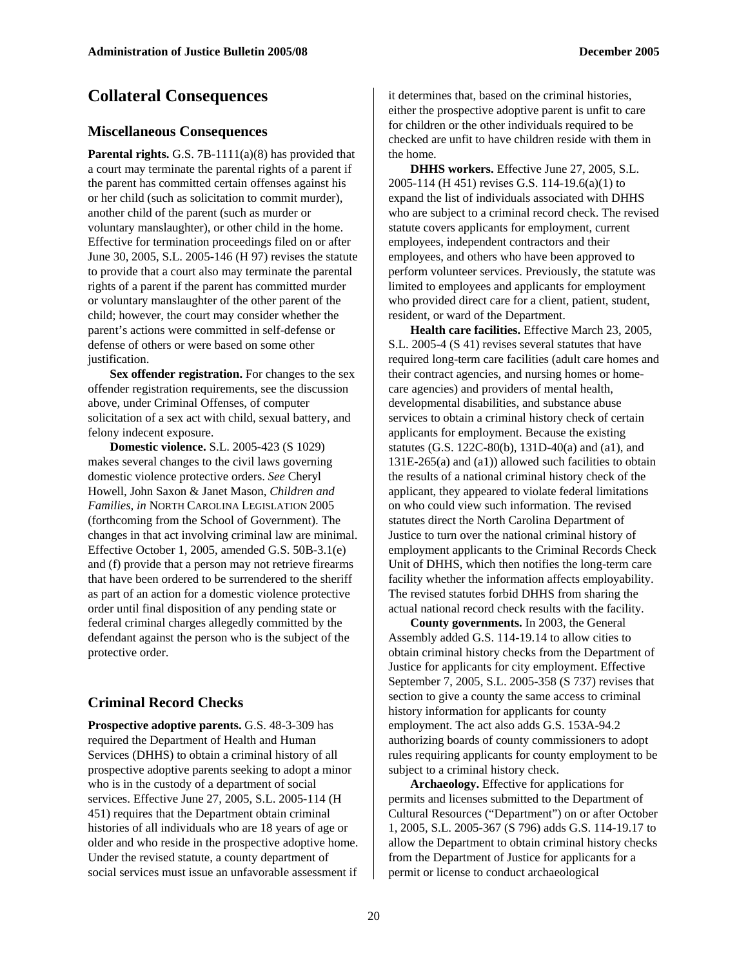## **Collateral Consequences**

#### **Miscellaneous Consequences**

Parental rights. G.S. 7B-1111(a)(8) has provided that a court may terminate the parental rights of a parent if the parent has committed certain offenses against his or her child (such as solicitation to commit murder), another child of the parent (such as murder or voluntary manslaughter), or other child in the home. Effective for termination proceedings filed on or after June 30, 2005, S.L. 2005-146 (H 97) revises the statute to provide that a court also may terminate the parental rights of a parent if the parent has committed murder or voluntary manslaughter of the other parent of the child; however, the court may consider whether the parent's actions were committed in self-defense or defense of others or were based on some other justification.

Sex offender registration. For changes to the sex offender registration requirements, see the discussion above, under Criminal Offenses, of computer solicitation of a sex act with child, sexual battery, and felony indecent exposure.

**Domestic violence.** S.L. 2005-423 (S 1029) makes several changes to the civil laws governing domestic violence protective orders. *See* Cheryl Howell, John Saxon & Janet Mason, *Children and Families, in* NORTH CAROLINA LEGISLATION 2005 (forthcoming from the School of Government). The changes in that act involving criminal law are minimal. Effective October 1, 2005, amended G.S. 50B-3.1(e) and (f) provide that a person may not retrieve firearms that have been ordered to be surrendered to the sheriff as part of an action for a domestic violence protective order until final disposition of any pending state or federal criminal charges allegedly committed by the defendant against the person who is the subject of the protective order.

#### **Criminal Record Checks**

**Prospective adoptive parents.** G.S. 48-3-309 has required the Department of Health and Human Services (DHHS) to obtain a criminal history of all prospective adoptive parents seeking to adopt a minor who is in the custody of a department of social services. Effective June 27, 2005, S.L. 2005-114 (H 451) requires that the Department obtain criminal histories of all individuals who are 18 years of age or older and who reside in the prospective adoptive home. Under the revised statute, a county department of social services must issue an unfavorable assessment if

it determines that, based on the criminal histories, either the prospective adoptive parent is unfit to care for children or the other individuals required to be checked are unfit to have children reside with them in the home.

**DHHS workers.** Effective June 27, 2005, S.L. 2005-114 (H 451) revises G.S. 114-19.6(a)(1) to expand the list of individuals associated with DHHS who are subject to a criminal record check. The revised statute covers applicants for employment, current employees, independent contractors and their employees, and others who have been approved to perform volunteer services. Previously, the statute was limited to employees and applicants for employment who provided direct care for a client, patient, student, resident, or ward of the Department.

**Health care facilities.** Effective March 23, 2005, S.L. 2005-4 (S 41) revises several statutes that have required long-term care facilities (adult care homes and their contract agencies, and nursing homes or homecare agencies) and providers of mental health, developmental disabilities, and substance abuse services to obtain a criminal history check of certain applicants for employment. Because the existing statutes (G.S. 122C-80(b), 131D-40(a) and (a1), and 131E-265(a) and (a1)) allowed such facilities to obtain the results of a national criminal history check of the applicant, they appeared to violate federal limitations on who could view such information. The revised statutes direct the North Carolina Department of Justice to turn over the national criminal history of employment applicants to the Criminal Records Check Unit of DHHS, which then notifies the long-term care facility whether the information affects employability. The revised statutes forbid DHHS from sharing the actual national record check results with the facility.

**County governments.** In 2003, the General Assembly added G.S. 114-19.14 to allow cities to obtain criminal history checks from the Department of Justice for applicants for city employment. Effective September 7, 2005, S.L. 2005-358 (S 737) revises that section to give a county the same access to criminal history information for applicants for county employment. The act also adds G.S. 153A-94.2 authorizing boards of county commissioners to adopt rules requiring applicants for county employment to be subject to a criminal history check.

**Archaeology.** Effective for applications for permits and licenses submitted to the Department of Cultural Resources ("Department") on or after October 1, 2005, S.L. 2005-367 (S 796) adds G.S. 114-19.17 to allow the Department to obtain criminal history checks from the Department of Justice for applicants for a permit or license to conduct archaeological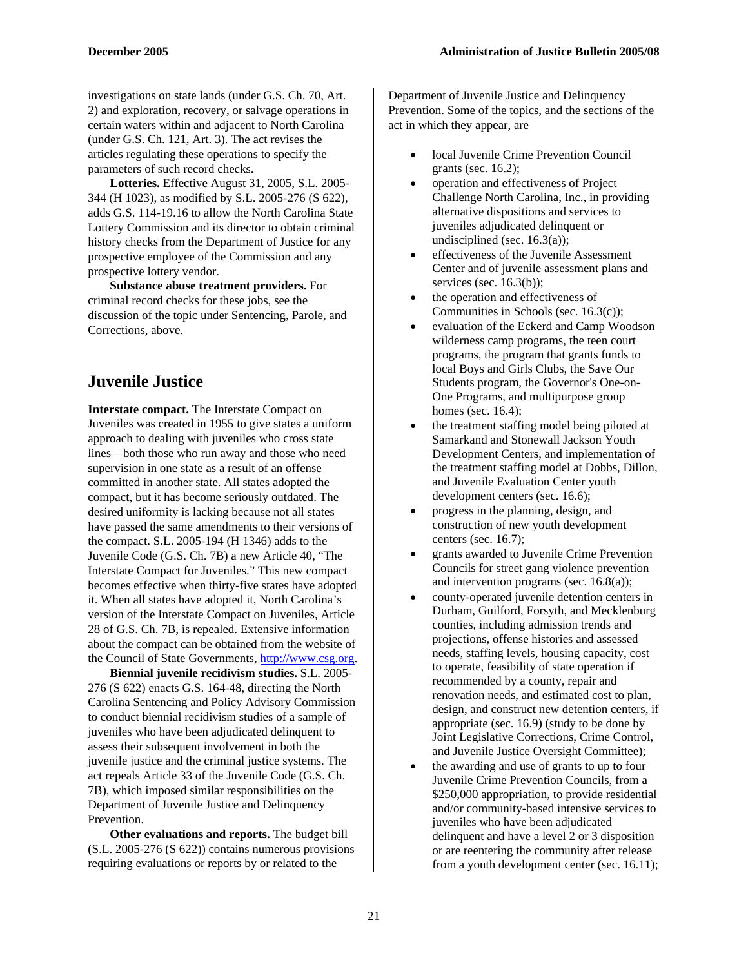investigations on state lands (under G.S. Ch. 70, Art. 2) and exploration, recovery, or salvage operations in certain waters within and adjacent to North Carolina (under G.S. Ch. 121, Art. 3). The act revises the articles regulating these operations to specify the parameters of such record checks.

**Lotteries.** Effective August 31, 2005, S.L. 2005- 344 (H 1023), as modified by S.L. 2005-276 (S 622), adds G.S. 114-19.16 to allow the North Carolina State Lottery Commission and its director to obtain criminal history checks from the Department of Justice for any prospective employee of the Commission and any prospective lottery vendor.

**Substance abuse treatment providers.** For criminal record checks for these jobs, see the discussion of the topic under Sentencing, Parole, and Corrections, above.

## **Juvenile Justice**

**Interstate compact.** The Interstate Compact on Juveniles was created in 1955 to give states a uniform approach to dealing with juveniles who cross state lines—both those who run away and those who need supervision in one state as a result of an offense committed in another state. All states adopted the compact, but it has become seriously outdated. The desired uniformity is lacking because not all states have passed the same amendments to their versions of the compact. S.L. 2005-194 (H 1346) adds to the Juvenile Code (G.S. Ch. 7B) a new Article 40, "The Interstate Compact for Juveniles." This new compact becomes effective when thirty-five states have adopted it. When all states have adopted it, North Carolina's version of the Interstate Compact on Juveniles, Article 28 of G.S. Ch. 7B, is repealed. Extensive information about the compact can be obtained from the website of the Council of State Governments, [http://www.csg.org](http://www.csg.org/).

**Biennial juvenile recidivism studies.** S.L. 2005- 276 (S 622) enacts G.S. 164-48, directing the North Carolina Sentencing and Policy Advisory Commission to conduct biennial recidivism studies of a sample of juveniles who have been adjudicated delinquent to assess their subsequent involvement in both the juvenile justice and the criminal justice systems. The act repeals Article 33 of the Juvenile Code (G.S. Ch. 7B), which imposed similar responsibilities on the Department of Juvenile Justice and Delinquency Prevention.

**Other evaluations and reports.** The budget bill (S.L. 2005-276 (S 622)) contains numerous provisions requiring evaluations or reports by or related to the

Department of Juvenile Justice and Delinquency Prevention. Some of the topics, and the sections of the act in which they appear, are

- local Juvenile Crime Prevention Council grants (sec. 16.2);
- operation and effectiveness of Project Challenge North Carolina, Inc., in providing alternative dispositions and services to juveniles adjudicated delinquent or undisciplined (sec. 16.3(a));
- effectiveness of the Juvenile Assessment Center and of juvenile assessment plans and services (sec. 16.3(b));
- the operation and effectiveness of Communities in Schools (sec. 16.3(c));
- evaluation of the Eckerd and Camp Woodson wilderness camp programs, the teen court programs, the program that grants funds to local Boys and Girls Clubs, the Save Our Students program, the Governor's One-on-One Programs, and multipurpose group homes (sec. 16.4);
- the treatment staffing model being piloted at Samarkand and Stonewall Jackson Youth Development Centers, and implementation of the treatment staffing model at Dobbs, Dillon, and Juvenile Evaluation Center youth development centers (sec. 16.6);
- progress in the planning, design, and construction of new youth development centers (sec. 16.7);
- grants awarded to Juvenile Crime Prevention Councils for street gang violence prevention and intervention programs (sec. 16.8(a));
- county-operated juvenile detention centers in Durham, Guilford, Forsyth, and Mecklenburg counties, including admission trends and projections, offense histories and assessed needs, staffing levels, housing capacity, cost to operate, feasibility of state operation if recommended by a county, repair and renovation needs, and estimated cost to plan, design, and construct new detention centers, if appropriate (sec. 16.9) (study to be done by Joint Legislative Corrections, Crime Control, and Juvenile Justice Oversight Committee);
- the awarding and use of grants to up to four Juvenile Crime Prevention Councils, from a \$250,000 appropriation, to provide residential and/or community-based intensive services to juveniles who have been adjudicated delinquent and have a level 2 or 3 disposition or are reentering the community after release from a youth development center (sec. 16.11);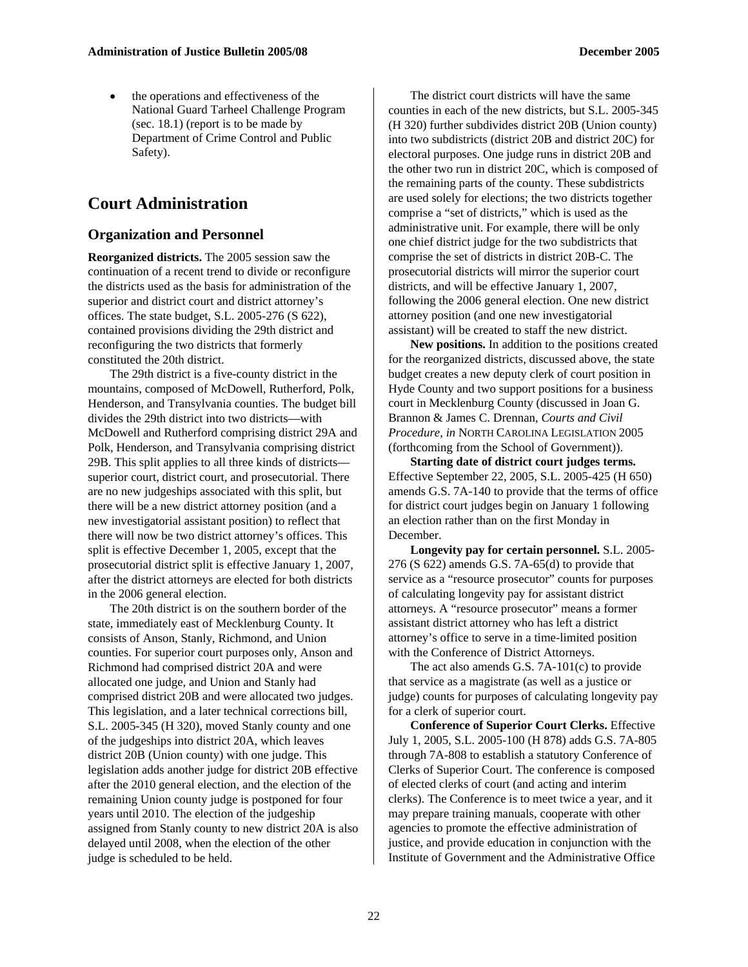• the operations and effectiveness of the National Guard Tarheel Challenge Program (sec. 18.1) (report is to be made by Department of Crime Control and Public Safety).

## **Court Administration**

#### **Organization and Personnel**

**Reorganized districts.** The 2005 session saw the continuation of a recent trend to divide or reconfigure the districts used as the basis for administration of the superior and district court and district attorney's offices. The state budget, S.L. 2005-276 (S 622), contained provisions dividing the 29th district and reconfiguring the two districts that formerly constituted the 20th district.

The 29th district is a five-county district in the mountains, composed of McDowell, Rutherford, Polk, Henderson, and Transylvania counties. The budget bill divides the 29th district into two districts—with McDowell and Rutherford comprising district 29A and Polk, Henderson, and Transylvania comprising district 29B. This split applies to all three kinds of districts superior court, district court, and prosecutorial. There are no new judgeships associated with this split, but there will be a new district attorney position (and a new investigatorial assistant position) to reflect that there will now be two district attorney's offices. This split is effective December 1, 2005, except that the prosecutorial district split is effective January 1, 2007, after the district attorneys are elected for both districts in the 2006 general election.

The 20th district is on the southern border of the state, immediately east of Mecklenburg County. It consists of Anson, Stanly, Richmond, and Union counties. For superior court purposes only, Anson and Richmond had comprised district 20A and were allocated one judge, and Union and Stanly had comprised district 20B and were allocated two judges. This legislation, and a later technical corrections bill, S.L. 2005-345 (H 320), moved Stanly county and one of the judgeships into district 20A, which leaves district 20B (Union county) with one judge. This legislation adds another judge for district 20B effective after the 2010 general election, and the election of the remaining Union county judge is postponed for four years until 2010. The election of the judgeship assigned from Stanly county to new district 20A is also delayed until 2008, when the election of the other judge is scheduled to be held.

The district court districts will have the same counties in each of the new districts, but S.L. 2005-345 (H 320) further subdivides district 20B (Union county) into two subdistricts (district 20B and district 20C) for electoral purposes. One judge runs in district 20B and the other two run in district 20C, which is composed of the remaining parts of the county. These subdistricts are used solely for elections; the two districts together comprise a "set of districts," which is used as the administrative unit. For example, there will be only one chief district judge for the two subdistricts that comprise the set of districts in district 20B-C. The prosecutorial districts will mirror the superior court districts, and will be effective January 1, 2007, following the 2006 general election. One new district attorney position (and one new investigatorial assistant) will be created to staff the new district.

**New positions.** In addition to the positions created for the reorganized districts, discussed above, the state budget creates a new deputy clerk of court position in Hyde County and two support positions for a business court in Mecklenburg County (discussed in Joan G. Brannon & James C. Drennan, *Courts and Civil Procedure, in* NORTH CAROLINA LEGISLATION 2005 (forthcoming from the School of Government)).

**Starting date of district court judges terms.**  Effective September 22, 2005, S.L. 2005-425 (H 650) amends G.S. 7A-140 to provide that the terms of office for district court judges begin on January 1 following an election rather than on the first Monday in December.

**Longevity pay for certain personnel.** S.L. 2005- 276 (S 622) amends G.S. 7A-65(d) to provide that service as a "resource prosecutor" counts for purposes of calculating longevity pay for assistant district attorneys. A "resource prosecutor" means a former assistant district attorney who has left a district attorney's office to serve in a time-limited position with the Conference of District Attorneys.

The act also amends G.S. 7A-101(c) to provide that service as a magistrate (as well as a justice or judge) counts for purposes of calculating longevity pay for a clerk of superior court.

**Conference of Superior Court Clerks.** Effective July 1, 2005, S.L. 2005-100 (H 878) adds G.S. 7A-805 through 7A-808 to establish a statutory Conference of Clerks of Superior Court. The conference is composed of elected clerks of court (and acting and interim clerks). The Conference is to meet twice a year, and it may prepare training manuals, cooperate with other agencies to promote the effective administration of justice, and provide education in conjunction with the Institute of Government and the Administrative Office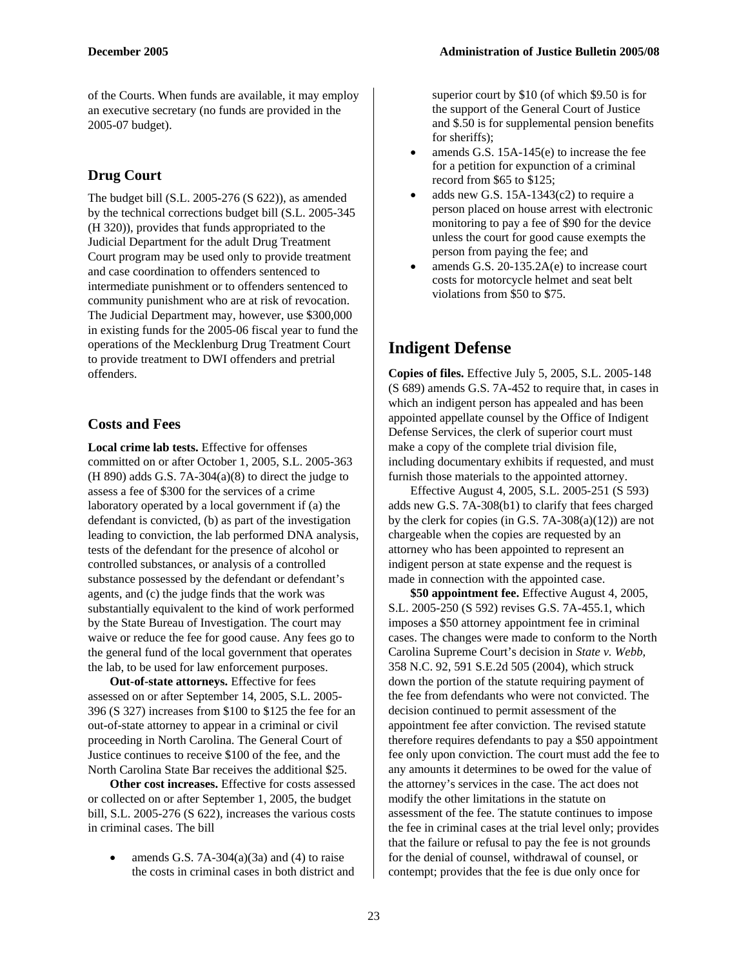of the Courts. When funds are available, it may employ an executive secretary (no funds are provided in the 2005-07 budget).

## **Drug Court**

The budget bill (S.L. 2005-276 (S 622)), as amended by the technical corrections budget bill (S.L. 2005-345 (H 320)), provides that funds appropriated to the Judicial Department for the adult Drug Treatment Court program may be used only to provide treatment and case coordination to offenders sentenced to intermediate punishment or to offenders sentenced to community punishment who are at risk of revocation. The Judicial Department may, however, use \$300,000 in existing funds for the 2005-06 fiscal year to fund the operations of the Mecklenburg Drug Treatment Court to provide treatment to DWI offenders and pretrial offenders.

## **Costs and Fees**

**Local crime lab tests.** Effective for offenses committed on or after October 1, 2005, S.L. 2005-363  $(H 890)$  adds G.S. 7A-304 $(a)(8)$  to direct the judge to assess a fee of \$300 for the services of a crime laboratory operated by a local government if (a) the defendant is convicted, (b) as part of the investigation leading to conviction, the lab performed DNA analysis, tests of the defendant for the presence of alcohol or controlled substances, or analysis of a controlled substance possessed by the defendant or defendant's agents, and (c) the judge finds that the work was substantially equivalent to the kind of work performed by the State Bureau of Investigation. The court may waive or reduce the fee for good cause. Any fees go to the general fund of the local government that operates the lab, to be used for law enforcement purposes.

**Out-of-state attorneys.** Effective for fees assessed on or after September 14, 2005, S.L. 2005- 396 (S 327) increases from \$100 to \$125 the fee for an out-of-state attorney to appear in a criminal or civil proceeding in North Carolina. The General Court of Justice continues to receive \$100 of the fee, and the North Carolina State Bar receives the additional \$25.

**Other cost increases.** Effective for costs assessed or collected on or after September 1, 2005, the budget bill, S.L. 2005-276 (S 622), increases the various costs in criminal cases. The bill

amends G.S.  $7A-304(a)(3a)$  and  $(4)$  to raise the costs in criminal cases in both district and

superior court by \$10 (of which \$9.50 is for the support of the General Court of Justice and \$.50 is for supplemental pension benefits for sheriffs);

- amends G.S.  $15A-145(e)$  to increase the fee for a petition for expunction of a criminal record from \$65 to \$125;
- adds new G.S.  $15A-1343(c2)$  to require a person placed on house arrest with electronic monitoring to pay a fee of \$90 for the device unless the court for good cause exempts the person from paying the fee; and
- amends G.S.  $20-135.2A(e)$  to increase court costs for motorcycle helmet and seat belt violations from \$50 to \$75.

## **Indigent Defense**

**Copies of files.** Effective July 5, 2005, S.L. 2005-148 (S 689) amends G.S. 7A-452 to require that, in cases in which an indigent person has appealed and has been appointed appellate counsel by the Office of Indigent Defense Services, the clerk of superior court must make a copy of the complete trial division file, including documentary exhibits if requested, and must furnish those materials to the appointed attorney.

Effective August 4, 2005, S.L. 2005-251 (S 593) adds new G.S. 7A-308(b1) to clarify that fees charged by the clerk for copies (in G.S.  $7A-308(a)(12)$ ) are not chargeable when the copies are requested by an attorney who has been appointed to represent an indigent person at state expense and the request is made in connection with the appointed case.

**\$50 appointment fee.** Effective August 4, 2005, S.L. 2005-250 (S 592) revises G.S. 7A-455.1, which imposes a \$50 attorney appointment fee in criminal cases. The changes were made to conform to the North Carolina Supreme Court's decision in *State v. Webb,*  358 N.C. 92, 591 S.E.2d 505 (2004), which struck down the portion of the statute requiring payment of the fee from defendants who were not convicted. The decision continued to permit assessment of the appointment fee after conviction. The revised statute therefore requires defendants to pay a \$50 appointment fee only upon conviction. The court must add the fee to any amounts it determines to be owed for the value of the attorney's services in the case. The act does not modify the other limitations in the statute on assessment of the fee. The statute continues to impose the fee in criminal cases at the trial level only; provides that the failure or refusal to pay the fee is not grounds for the denial of counsel, withdrawal of counsel, or contempt; provides that the fee is due only once for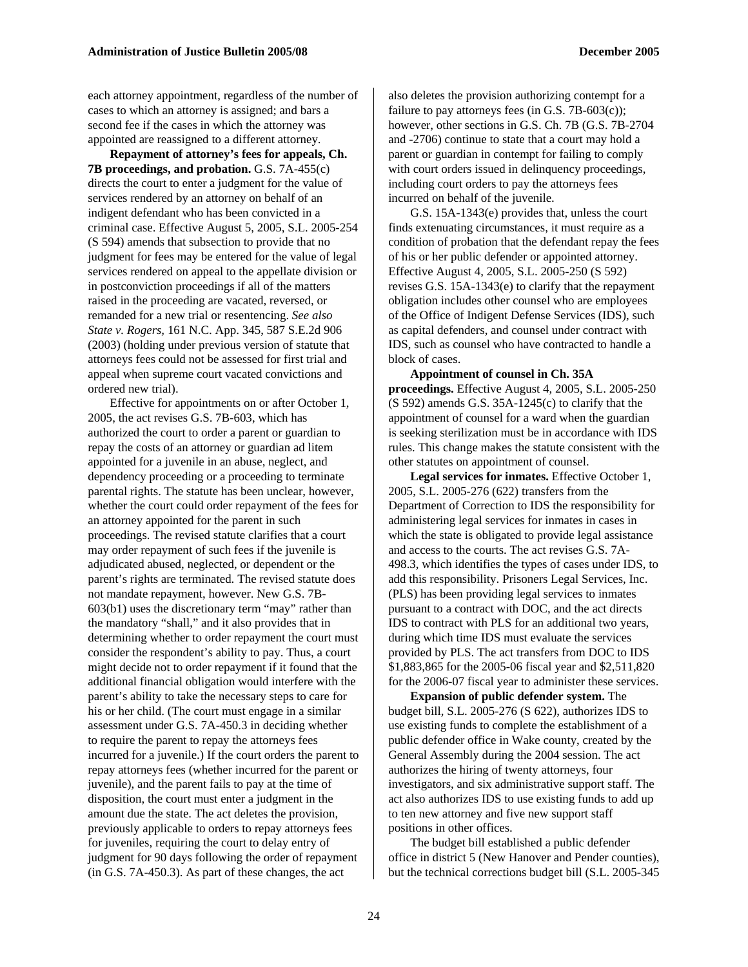each attorney appointment, regardless of the number of cases to which an attorney is assigned; and bars a second fee if the cases in which the attorney was appointed are reassigned to a different attorney.

**Repayment of attorney's fees for appeals, Ch. 7B proceedings, and probation.** G.S. 7A-455(c) directs the court to enter a judgment for the value of services rendered by an attorney on behalf of an indigent defendant who has been convicted in a criminal case. Effective August 5, 2005, S.L. 2005-254 (S 594) amends that subsection to provide that no judgment for fees may be entered for the value of legal services rendered on appeal to the appellate division or in postconviction proceedings if all of the matters raised in the proceeding are vacated, reversed, or remanded for a new trial or resentencing. *See also State v. Rogers,* 161 N.C. App. 345, 587 S.E.2d 906 (2003) (holding under previous version of statute that attorneys fees could not be assessed for first trial and appeal when supreme court vacated convictions and ordered new trial).

Effective for appointments on or after October 1, 2005, the act revises G.S. 7B-603, which has authorized the court to order a parent or guardian to repay the costs of an attorney or guardian ad litem appointed for a juvenile in an abuse, neglect, and dependency proceeding or a proceeding to terminate parental rights. The statute has been unclear, however, whether the court could order repayment of the fees for an attorney appointed for the parent in such proceedings. The revised statute clarifies that a court may order repayment of such fees if the juvenile is adjudicated abused, neglected, or dependent or the parent's rights are terminated. The revised statute does not mandate repayment, however. New G.S. 7B-603(b1) uses the discretionary term "may" rather than the mandatory "shall," and it also provides that in determining whether to order repayment the court must consider the respondent's ability to pay. Thus, a court might decide not to order repayment if it found that the additional financial obligation would interfere with the parent's ability to take the necessary steps to care for his or her child. (The court must engage in a similar assessment under G.S. 7A-450.3 in deciding whether to require the parent to repay the attorneys fees incurred for a juvenile.) If the court orders the parent to repay attorneys fees (whether incurred for the parent or juvenile), and the parent fails to pay at the time of disposition, the court must enter a judgment in the amount due the state. The act deletes the provision, previously applicable to orders to repay attorneys fees for juveniles, requiring the court to delay entry of judgment for 90 days following the order of repayment (in G.S. 7A-450.3). As part of these changes, the act

also deletes the provision authorizing contempt for a failure to pay attorneys fees (in G.S.  $7B-603(c)$ ); however, other sections in G.S. Ch. 7B (G.S. 7B-2704 and -2706) continue to state that a court may hold a parent or guardian in contempt for failing to comply with court orders issued in delinquency proceedings, including court orders to pay the attorneys fees incurred on behalf of the juvenile.

G.S. 15A-1343(e) provides that, unless the court finds extenuating circumstances, it must require as a condition of probation that the defendant repay the fees of his or her public defender or appointed attorney. Effective August 4, 2005, S.L. 2005-250 (S 592) revises G.S. 15A-1343(e) to clarify that the repayment obligation includes other counsel who are employees of the Office of Indigent Defense Services (IDS), such as capital defenders, and counsel under contract with IDS, such as counsel who have contracted to handle a block of cases.

**Appointment of counsel in Ch. 35A proceedings.** Effective August 4, 2005, S.L. 2005-250  $(S 592)$  amends G.S. 35A-1245 $(c)$  to clarify that the appointment of counsel for a ward when the guardian is seeking sterilization must be in accordance with IDS rules. This change makes the statute consistent with the other statutes on appointment of counsel.

Legal services for inmates. Effective October 1, 2005, S.L. 2005-276 (622) transfers from the Department of Correction to IDS the responsibility for administering legal services for inmates in cases in which the state is obligated to provide legal assistance and access to the courts. The act revises G.S. 7A-498.3, which identifies the types of cases under IDS, to add this responsibility. Prisoners Legal Services, Inc. (PLS) has been providing legal services to inmates pursuant to a contract with DOC, and the act directs IDS to contract with PLS for an additional two years, during which time IDS must evaluate the services provided by PLS. The act transfers from DOC to IDS \$1,883,865 for the 2005-06 fiscal year and \$2,511,820 for the 2006-07 fiscal year to administer these services.

**Expansion of public defender system.** The budget bill, S.L. 2005-276 (S 622), authorizes IDS to use existing funds to complete the establishment of a public defender office in Wake county, created by the General Assembly during the 2004 session. The act authorizes the hiring of twenty attorneys, four investigators, and six administrative support staff. The act also authorizes IDS to use existing funds to add up to ten new attorney and five new support staff positions in other offices.

The budget bill established a public defender office in district 5 (New Hanover and Pender counties), but the technical corrections budget bill (S.L. 2005-345